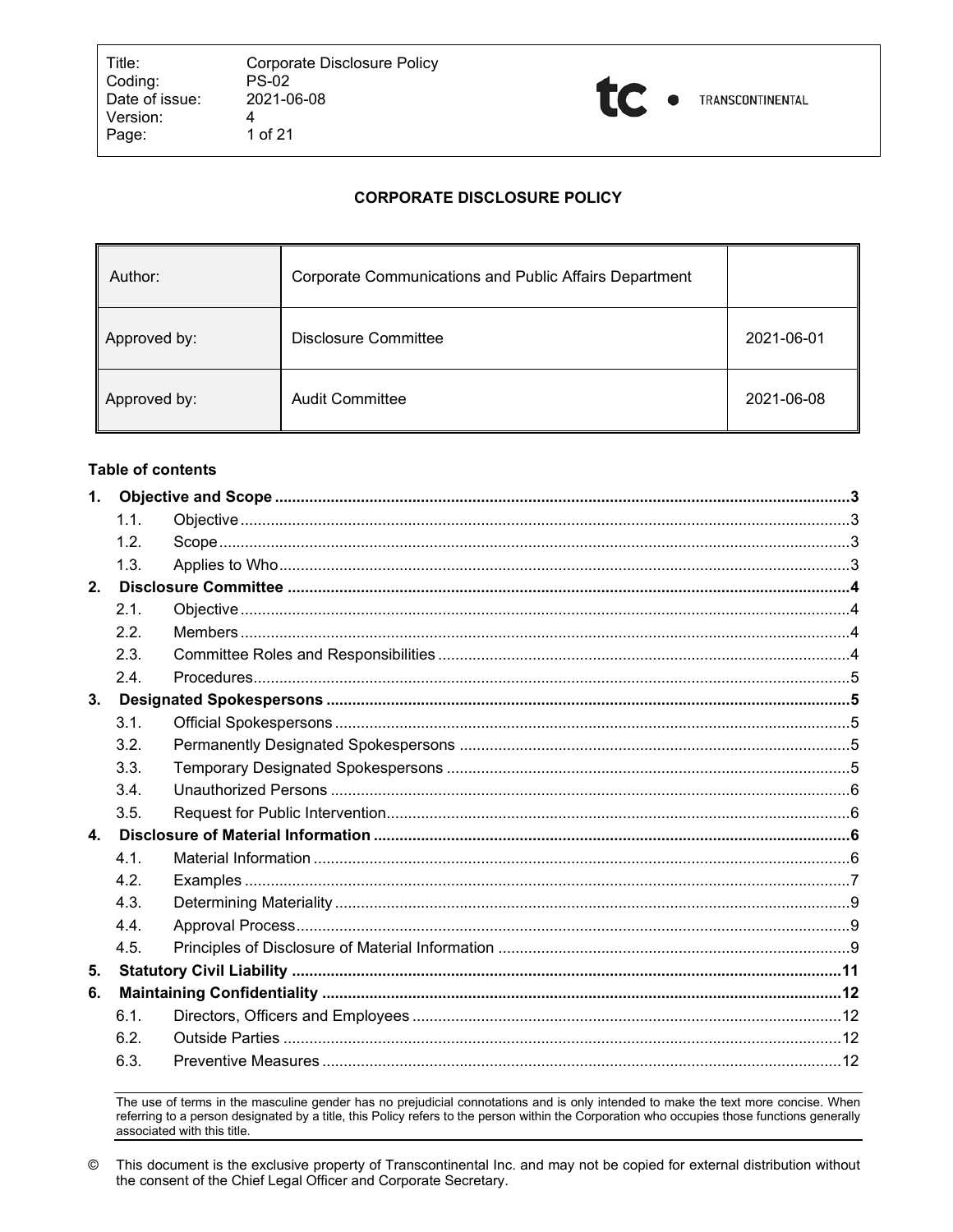

# **CORPORATE DISCLOSURE POLICY**

| Author:      | <b>Corporate Communications and Public Affairs Department</b> |            |
|--------------|---------------------------------------------------------------|------------|
| Approved by: | Disclosure Committee                                          | 2021-06-01 |
| Approved by: | <b>Audit Committee</b>                                        | 2021-06-08 |

# **Table of contents**

| 1.             |      |  |  |
|----------------|------|--|--|
|                | 1.1. |  |  |
|                | 1.2. |  |  |
|                | 1.3. |  |  |
| 2.             |      |  |  |
|                | 2.1. |  |  |
|                | 2.2. |  |  |
|                | 2.3. |  |  |
|                | 2.4. |  |  |
| 3.             |      |  |  |
|                | 3.1. |  |  |
|                | 3.2. |  |  |
|                | 3.3. |  |  |
|                | 3.4. |  |  |
|                | 3.5. |  |  |
| $\mathbf{4}$ . |      |  |  |
|                | 4.1. |  |  |
|                | 4.2. |  |  |
|                | 4.3. |  |  |
|                | 4.4. |  |  |
|                | 4.5. |  |  |
| 5.             |      |  |  |
| 6.             |      |  |  |
|                | 6.1. |  |  |
|                | 6.2. |  |  |
|                | 6.3. |  |  |

The use of terms in the masculine gender has no prejudicial connotations and is only intended to make the text more concise. When referring to a person designated by a title, this Policy refers to the person within the Corporation who occupies those functions generally associated with this title.

This document is the exclusive property of Transcontinental Inc. and may not be copied for external distribution without  $_{\mathbb{O}}$ the consent of the Chief Legal Officer and Corporate Secretary.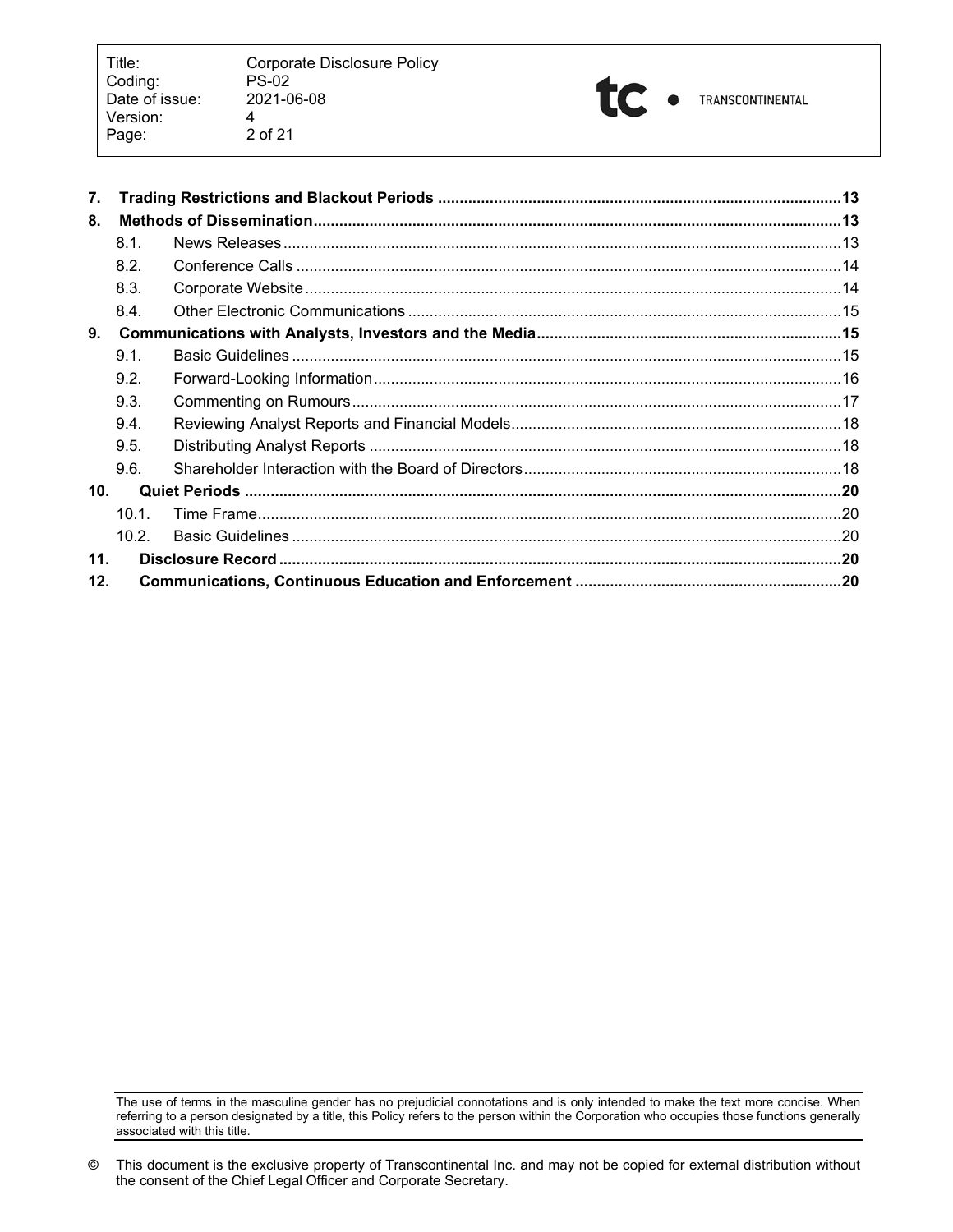

| 7.              |       |  |  |
|-----------------|-------|--|--|
| 8.              |       |  |  |
|                 | 8.1.  |  |  |
|                 | 8.2.  |  |  |
|                 | 8.3.  |  |  |
|                 | 8.4.  |  |  |
| 9.              |       |  |  |
|                 | 9.1.  |  |  |
|                 | 9.2.  |  |  |
|                 | 9.3.  |  |  |
|                 | 9.4.  |  |  |
|                 | 9.5.  |  |  |
|                 | 9.6.  |  |  |
| 10 <sub>1</sub> |       |  |  |
|                 | 10.1. |  |  |
|                 | 10.2. |  |  |
| 11.             |       |  |  |
| 12.             |       |  |  |

The use of terms in the masculine gender has no prejudicial connotations and is only intended to make the text more concise. When referring to a person designated by a title, this Policy refers to the person within the Corporation who occupies those functions generally associated with this title.

<sup>©</sup> This document is the exclusive property of Transcontinental Inc. and may not be copied for external distribution without the consent of the Chief Legal Officer and Corporate Secretary.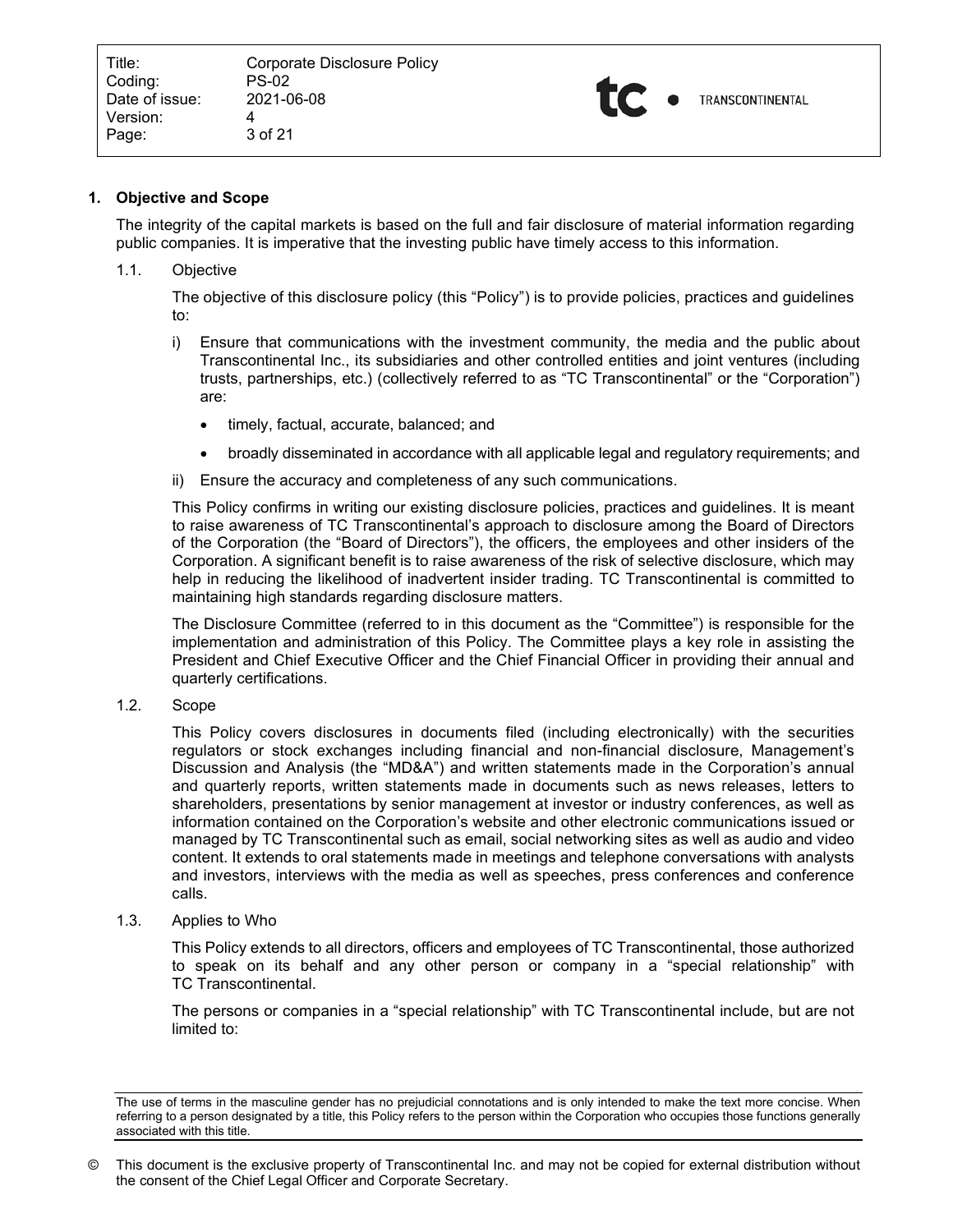## **1. Objective and Scope**

The integrity of the capital markets is based on the full and fair disclosure of material information regarding public companies. It is imperative that the investing public have timely access to this information.

## 1.1. Objective

The objective of this disclosure policy (this "Policy") is to provide policies, practices and guidelines to:

- i) Ensure that communications with the investment community, the media and the public about Transcontinental Inc., its subsidiaries and other controlled entities and joint ventures (including trusts, partnerships, etc.) (collectively referred to as "TC Transcontinental" or the "Corporation") are:
	- timely, factual, accurate, balanced; and
	- broadly disseminated in accordance with all applicable legal and regulatory requirements; and
- ii) Ensure the accuracy and completeness of any such communications.

This Policy confirms in writing our existing disclosure policies, practices and guidelines. It is meant to raise awareness of TC Transcontinental's approach to disclosure among the Board of Directors of the Corporation (the "Board of Directors"), the officers, the employees and other insiders of the Corporation. A significant benefit is to raise awareness of the risk of selective disclosure, which may help in reducing the likelihood of inadvertent insider trading. TC Transcontinental is committed to maintaining high standards regarding disclosure matters.

The Disclosure Committee (referred to in this document as the "Committee") is responsible for the implementation and administration of this Policy. The Committee plays a key role in assisting the President and Chief Executive Officer and the Chief Financial Officer in providing their annual and quarterly certifications.

1.2. Scope

This Policy covers disclosures in documents filed (including electronically) with the securities regulators or stock exchanges including financial and non-financial disclosure, Management's Discussion and Analysis (the "MD&A") and written statements made in the Corporation's annual and quarterly reports, written statements made in documents such as news releases, letters to shareholders, presentations by senior management at investor or industry conferences, as well as information contained on the Corporation's website and other electronic communications issued or managed by TC Transcontinental such as email, social networking sites as well as audio and video content. It extends to oral statements made in meetings and telephone conversations with analysts and investors, interviews with the media as well as speeches, press conferences and conference calls.

1.3. Applies to Who

This Policy extends to all directors, officers and employees of TC Transcontinental, those authorized to speak on its behalf and any other person or company in a "special relationship" with TC Transcontinental.

The persons or companies in a "special relationship" with TC Transcontinental include, but are not limited to:

The use of terms in the masculine gender has no prejudicial connotations and is only intended to make the text more concise. When referring to a person designated by a title, this Policy refers to the person within the Corporation who occupies those functions generally associated with this title.

<sup>©</sup> This document is the exclusive property of Transcontinental Inc. and may not be copied for external distribution without the consent of the Chief Legal Officer and Corporate Secretary.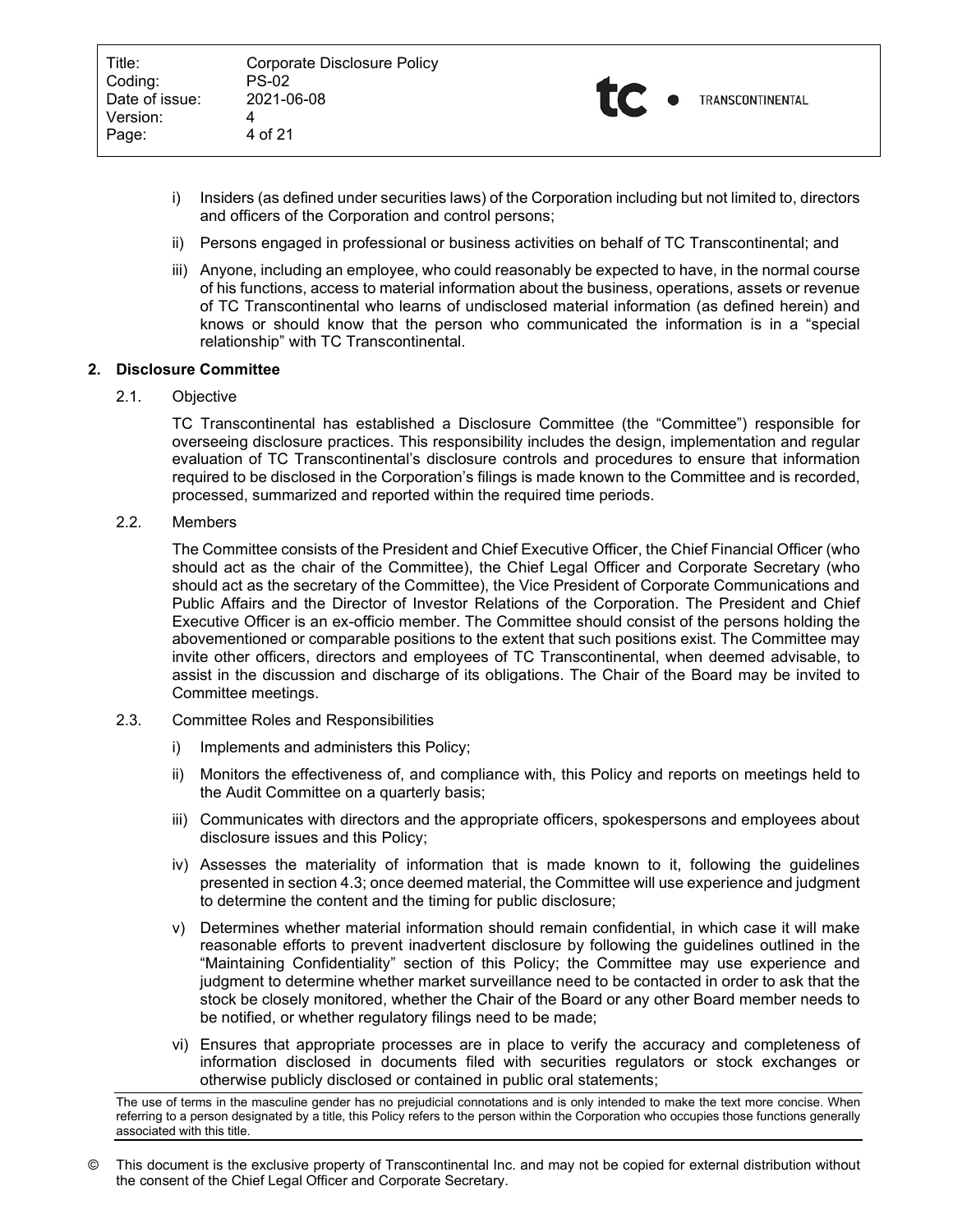i) Insiders (as defined under securities laws) of the Corporation including but not limited to, directors and officers of the Corporation and control persons;

TRANSCONTINENTAL

- ii) Persons engaged in professional or business activities on behalf of TC Transcontinental; and
- iii) Anyone, including an employee, who could reasonably be expected to have, in the normal course of his functions, access to material information about the business, operations, assets or revenue of TC Transcontinental who learns of undisclosed material information (as defined herein) and knows or should know that the person who communicated the information is in a "special relationship" with TC Transcontinental.

## **2. Disclosure Committee**

2.1. Objective

TC Transcontinental has established a Disclosure Committee (the "Committee") responsible for overseeing disclosure practices. This responsibility includes the design, implementation and regular evaluation of TC Transcontinental's disclosure controls and procedures to ensure that information required to be disclosed in the Corporation's filings is made known to the Committee and is recorded, processed, summarized and reported within the required time periods.

2.2. Members

The Committee consists of the President and Chief Executive Officer, the Chief Financial Officer (who should act as the chair of the Committee), the Chief Legal Officer and Corporate Secretary (who should act as the secretary of the Committee), the Vice President of Corporate Communications and Public Affairs and the Director of Investor Relations of the Corporation. The President and Chief Executive Officer is an ex-officio member. The Committee should consist of the persons holding the abovementioned or comparable positions to the extent that such positions exist. The Committee may invite other officers, directors and employees of TC Transcontinental, when deemed advisable, to assist in the discussion and discharge of its obligations. The Chair of the Board may be invited to Committee meetings.

- 2.3. Committee Roles and Responsibilities
	- i) Implements and administers this Policy;
	- ii) Monitors the effectiveness of, and compliance with, this Policy and reports on meetings held to the Audit Committee on a quarterly basis;
	- iii) Communicates with directors and the appropriate officers, spokespersons and employees about disclosure issues and this Policy;
	- iv) Assesses the materiality of information that is made known to it, following the guidelines presented in section 4.3; once deemed material, the Committee will use experience and judgment to determine the content and the timing for public disclosure;
	- v) Determines whether material information should remain confidential, in which case it will make reasonable efforts to prevent inadvertent disclosure by following the guidelines outlined in the "Maintaining Confidentiality" section of this Policy; the Committee may use experience and judgment to determine whether market surveillance need to be contacted in order to ask that the stock be closely monitored, whether the Chair of the Board or any other Board member needs to be notified, or whether regulatory filings need to be made;
	- vi) Ensures that appropriate processes are in place to verify the accuracy and completeness of information disclosed in documents filed with securities regulators or stock exchanges or otherwise publicly disclosed or contained in public oral statements;

The use of terms in the masculine gender has no prejudicial connotations and is only intended to make the text more concise. When referring to a person designated by a title, this Policy refers to the person within the Corporation who occupies those functions generally associated with this title.

<sup>©</sup> This document is the exclusive property of Transcontinental Inc. and may not be copied for external distribution without the consent of the Chief Legal Officer and Corporate Secretary.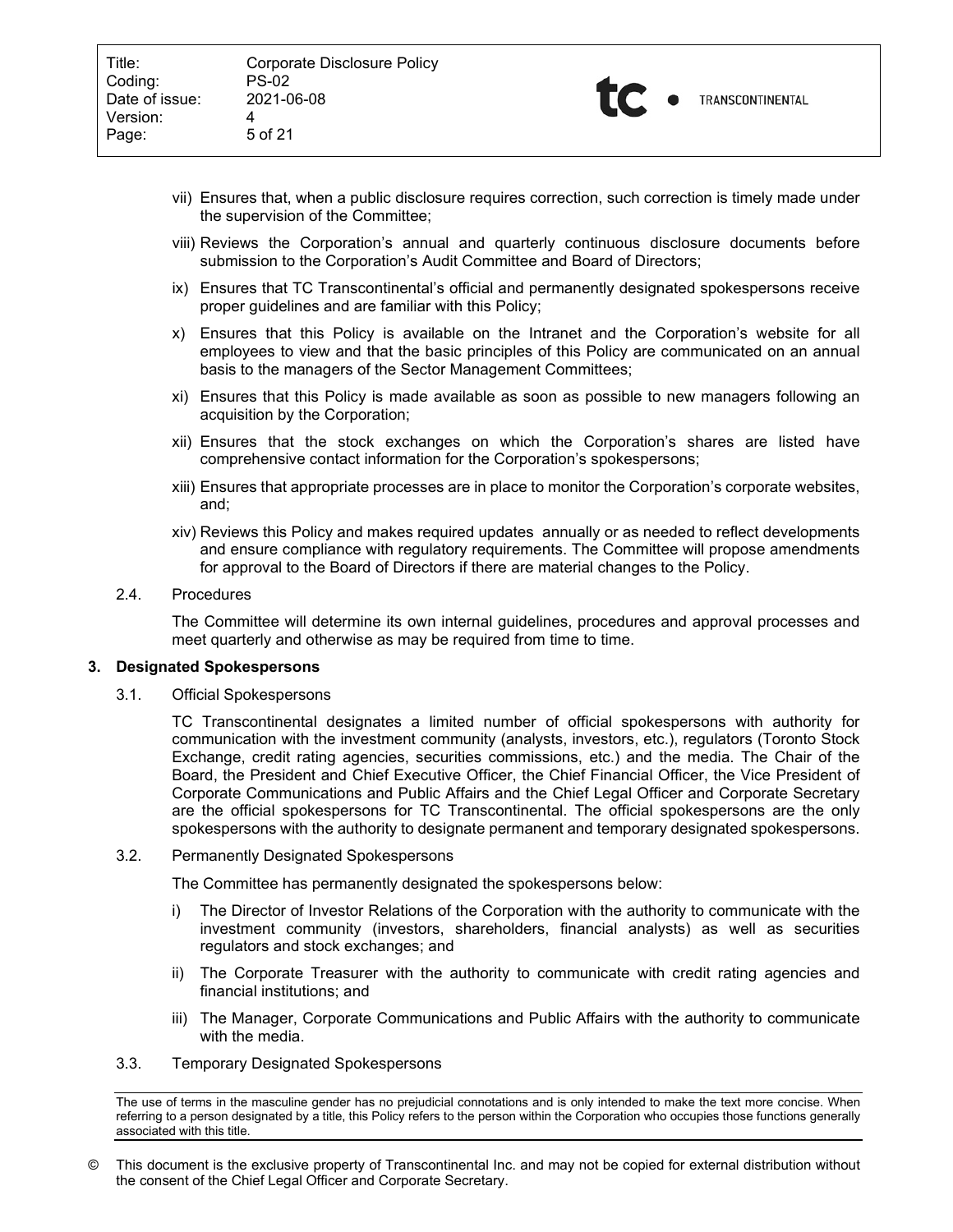

- vii) Ensures that, when a public disclosure requires correction, such correction is timely made under the supervision of the Committee;
- viii) Reviews the Corporation's annual and quarterly continuous disclosure documents before submission to the Corporation's Audit Committee and Board of Directors;
- ix) Ensures that TC Transcontinental's official and permanently designated spokespersons receive proper guidelines and are familiar with this Policy;
- x) Ensures that this Policy is available on the Intranet and the Corporation's website for all employees to view and that the basic principles of this Policy are communicated on an annual basis to the managers of the Sector Management Committees;
- xi) Ensures that this Policy is made available as soon as possible to new managers following an acquisition by the Corporation;
- xii) Ensures that the stock exchanges on which the Corporation's shares are listed have comprehensive contact information for the Corporation's spokespersons;
- xiii) Ensures that appropriate processes are in place to monitor the Corporation's corporate websites, and;
- xiv) Reviews this Policy and makes required updates annually or as needed to reflect developments and ensure compliance with regulatory requirements. The Committee will propose amendments for approval to the Board of Directors if there are material changes to the Policy.

## 2.4. Procedures

The Committee will determine its own internal guidelines, procedures and approval processes and meet quarterly and otherwise as may be required from time to time.

## **3. Designated Spokespersons**

3.1. Official Spokespersons

TC Transcontinental designates a limited number of official spokespersons with authority for communication with the investment community (analysts, investors, etc.), regulators (Toronto Stock Exchange, credit rating agencies, securities commissions, etc.) and the media. The Chair of the Board, the President and Chief Executive Officer, the Chief Financial Officer, the Vice President of Corporate Communications and Public Affairs and the Chief Legal Officer and Corporate Secretary are the official spokespersons for TC Transcontinental. The official spokespersons are the only spokespersons with the authority to designate permanent and temporary designated spokespersons.

3.2. Permanently Designated Spokespersons

The Committee has permanently designated the spokespersons below:

- i) The Director of Investor Relations of the Corporation with the authority to communicate with the investment community (investors, shareholders, financial analysts) as well as securities regulators and stock exchanges; and
- ii) The Corporate Treasurer with the authority to communicate with credit rating agencies and financial institutions; and
- iii) The Manager, Corporate Communications and Public Affairs with the authority to communicate with the media.
- 3.3. Temporary Designated Spokespersons

The use of terms in the masculine gender has no prejudicial connotations and is only intended to make the text more concise. When referring to a person designated by a title, this Policy refers to the person within the Corporation who occupies those functions generally associated with this title.

<sup>©</sup> This document is the exclusive property of Transcontinental Inc. and may not be copied for external distribution without the consent of the Chief Legal Officer and Corporate Secretary.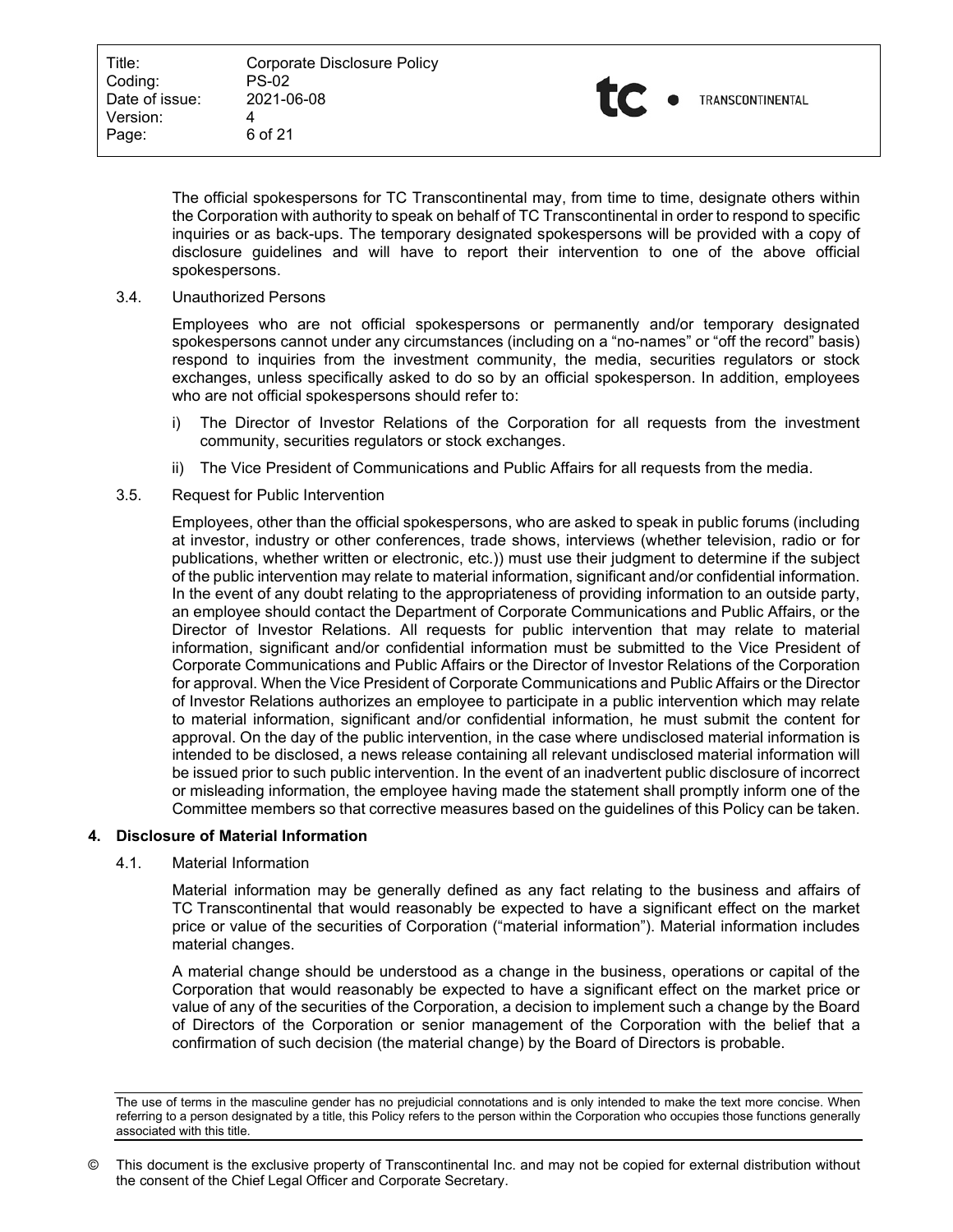

The official spokespersons for TC Transcontinental may, from time to time, designate others within the Corporation with authority to speak on behalf of TC Transcontinental in order to respond to specific inquiries or as back-ups. The temporary designated spokespersons will be provided with a copy of disclosure guidelines and will have to report their intervention to one of the above official spokespersons.

3.4. Unauthorized Persons

Employees who are not official spokespersons or permanently and/or temporary designated spokespersons cannot under any circumstances (including on a "no-names" or "off the record" basis) respond to inquiries from the investment community, the media, securities regulators or stock exchanges, unless specifically asked to do so by an official spokesperson. In addition, employees who are not official spokespersons should refer to:

- i) The Director of Investor Relations of the Corporation for all requests from the investment community, securities regulators or stock exchanges.
- ii) The Vice President of Communications and Public Affairs for all requests from the media.
- 3.5. Request for Public Intervention

Employees, other than the official spokespersons, who are asked to speak in public forums (including at investor, industry or other conferences, trade shows, interviews (whether television, radio or for publications, whether written or electronic, etc.)) must use their judgment to determine if the subject of the public intervention may relate to material information, significant and/or confidential information. In the event of any doubt relating to the appropriateness of providing information to an outside party, an employee should contact the Department of Corporate Communications and Public Affairs, or the Director of Investor Relations. All requests for public intervention that may relate to material information, significant and/or confidential information must be submitted to the Vice President of Corporate Communications and Public Affairs or the Director of Investor Relations of the Corporation for approval. When the Vice President of Corporate Communications and Public Affairs or the Director of Investor Relations authorizes an employee to participate in a public intervention which may relate to material information, significant and/or confidential information, he must submit the content for approval. On the day of the public intervention, in the case where undisclosed material information is intended to be disclosed, a news release containing all relevant undisclosed material information will be issued prior to such public intervention. In the event of an inadvertent public disclosure of incorrect or misleading information, the employee having made the statement shall promptly inform one of the Committee members so that corrective measures based on the guidelines of this Policy can be taken.

## **4. Disclosure of Material Information**

4.1. Material Information

Material information may be generally defined as any fact relating to the business and affairs of TC Transcontinental that would reasonably be expected to have a significant effect on the market price or value of the securities of Corporation ("material information"). Material information includes material changes.

A material change should be understood as a change in the business, operations or capital of the Corporation that would reasonably be expected to have a significant effect on the market price or value of any of the securities of the Corporation, a decision to implement such a change by the Board of Directors of the Corporation or senior management of the Corporation with the belief that a confirmation of such decision (the material change) by the Board of Directors is probable.

The use of terms in the masculine gender has no prejudicial connotations and is only intended to make the text more concise. When referring to a person designated by a title, this Policy refers to the person within the Corporation who occupies those functions generally associated with this title.

<sup>©</sup> This document is the exclusive property of Transcontinental Inc. and may not be copied for external distribution without the consent of the Chief Legal Officer and Corporate Secretary.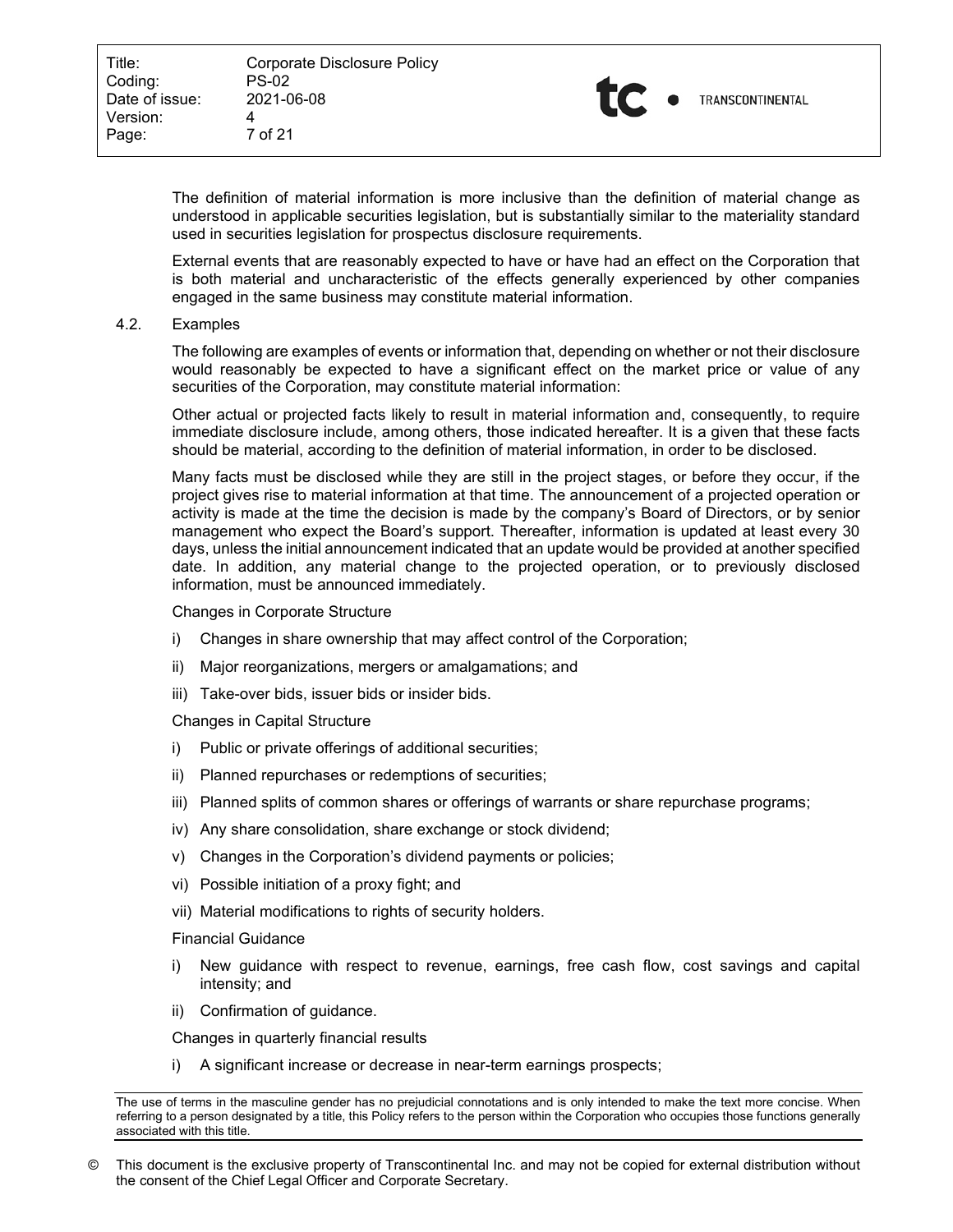

The definition of material information is more inclusive than the definition of material change as understood in applicable securities legislation, but is substantially similar to the materiality standard used in securities legislation for prospectus disclosure requirements.

External events that are reasonably expected to have or have had an effect on the Corporation that is both material and uncharacteristic of the effects generally experienced by other companies engaged in the same business may constitute material information.

4.2. Examples

The following are examples of events or information that, depending on whether or not their disclosure would reasonably be expected to have a significant effect on the market price or value of any securities of the Corporation, may constitute material information:

Other actual or projected facts likely to result in material information and, consequently, to require immediate disclosure include, among others, those indicated hereafter. It is a given that these facts should be material, according to the definition of material information, in order to be disclosed.

Many facts must be disclosed while they are still in the project stages, or before they occur, if the project gives rise to material information at that time. The announcement of a projected operation or activity is made at the time the decision is made by the company's Board of Directors, or by senior management who expect the Board's support. Thereafter, information is updated at least every 30 days, unless the initial announcement indicated that an update would be provided at another specified date. In addition, any material change to the projected operation, or to previously disclosed information, must be announced immediately.

Changes in Corporate Structure

- i) Changes in share ownership that may affect control of the Corporation;
- ii) Major reorganizations, mergers or amalgamations; and
- iii) Take-over bids, issuer bids or insider bids.

Changes in Capital Structure

- i) Public or private offerings of additional securities;
- ii) Planned repurchases or redemptions of securities;
- iii) Planned splits of common shares or offerings of warrants or share repurchase programs;
- iv) Any share consolidation, share exchange or stock dividend;
- v) Changes in the Corporation's dividend payments or policies;
- vi) Possible initiation of a proxy fight; and
- vii) Material modifications to rights of security holders.

Financial Guidance

- i) New guidance with respect to revenue, earnings, free cash flow, cost savings and capital intensity; and
- ii) Confirmation of guidance.

Changes in quarterly financial results

i) A significant increase or decrease in near-term earnings prospects;

The use of terms in the masculine gender has no prejudicial connotations and is only intended to make the text more concise. When referring to a person designated by a title, this Policy refers to the person within the Corporation who occupies those functions generally associated with this title.

<sup>©</sup> This document is the exclusive property of Transcontinental Inc. and may not be copied for external distribution without the consent of the Chief Legal Officer and Corporate Secretary.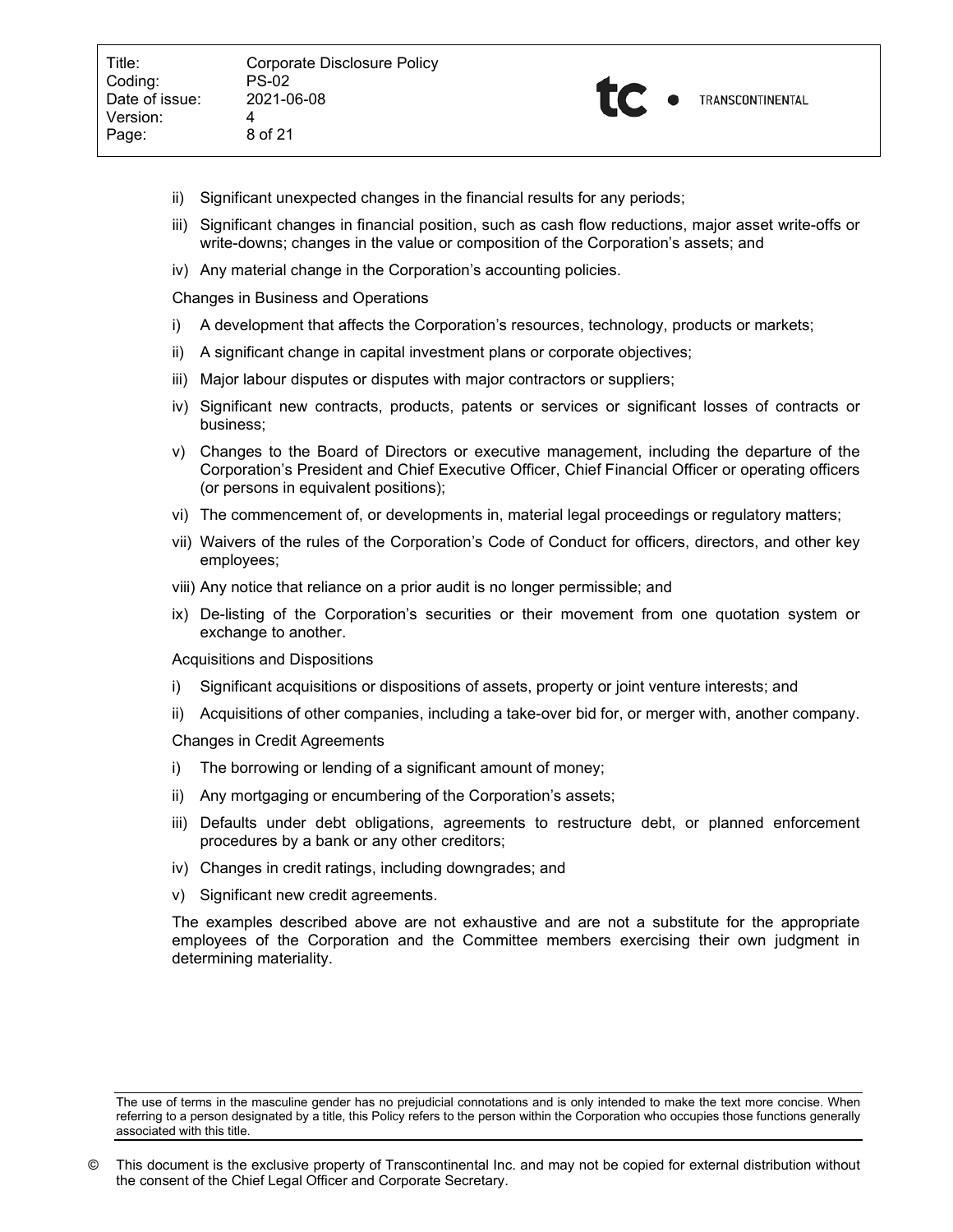

- ii) Significant unexpected changes in the financial results for any periods;
- iii) Significant changes in financial position, such as cash flow reductions, major asset write-offs or write-downs; changes in the value or composition of the Corporation's assets; and
- iv) Any material change in the Corporation's accounting policies.

Changes in Business and Operations

- i) A development that affects the Corporation's resources, technology, products or markets;
- ii) A significant change in capital investment plans or corporate objectives;
- iii) Major labour disputes or disputes with major contractors or suppliers;
- iv) Significant new contracts, products, patents or services or significant losses of contracts or business;
- v) Changes to the Board of Directors or executive management, including the departure of the Corporation's President and Chief Executive Officer, Chief Financial Officer or operating officers (or persons in equivalent positions);
- vi) The commencement of, or developments in, material legal proceedings or regulatory matters;
- vii) Waivers of the rules of the Corporation's Code of Conduct for officers, directors, and other key employees;
- viii) Any notice that reliance on a prior audit is no longer permissible; and
- ix) De-listing of the Corporation's securities or their movement from one quotation system or exchange to another.

Acquisitions and Dispositions

- i) Significant acquisitions or dispositions of assets, property or joint venture interests; and
- ii) Acquisitions of other companies, including a take-over bid for, or merger with, another company.

Changes in Credit Agreements

- i) The borrowing or lending of a significant amount of money;
- ii) Any mortgaging or encumbering of the Corporation's assets;
- iii) Defaults under debt obligations, agreements to restructure debt, or planned enforcement procedures by a bank or any other creditors;
- iv) Changes in credit ratings, including downgrades; and
- v) Significant new credit agreements.

The examples described above are not exhaustive and are not a substitute for the appropriate employees of the Corporation and the Committee members exercising their own judgment in determining materiality.

The use of terms in the masculine gender has no prejudicial connotations and is only intended to make the text more concise. When referring to a person designated by a title, this Policy refers to the person within the Corporation who occupies those functions generally associated with this title.

© This document is the exclusive property of Transcontinental Inc. and may not be copied for external distribution without the consent of the Chief Legal Officer and Corporate Secretary.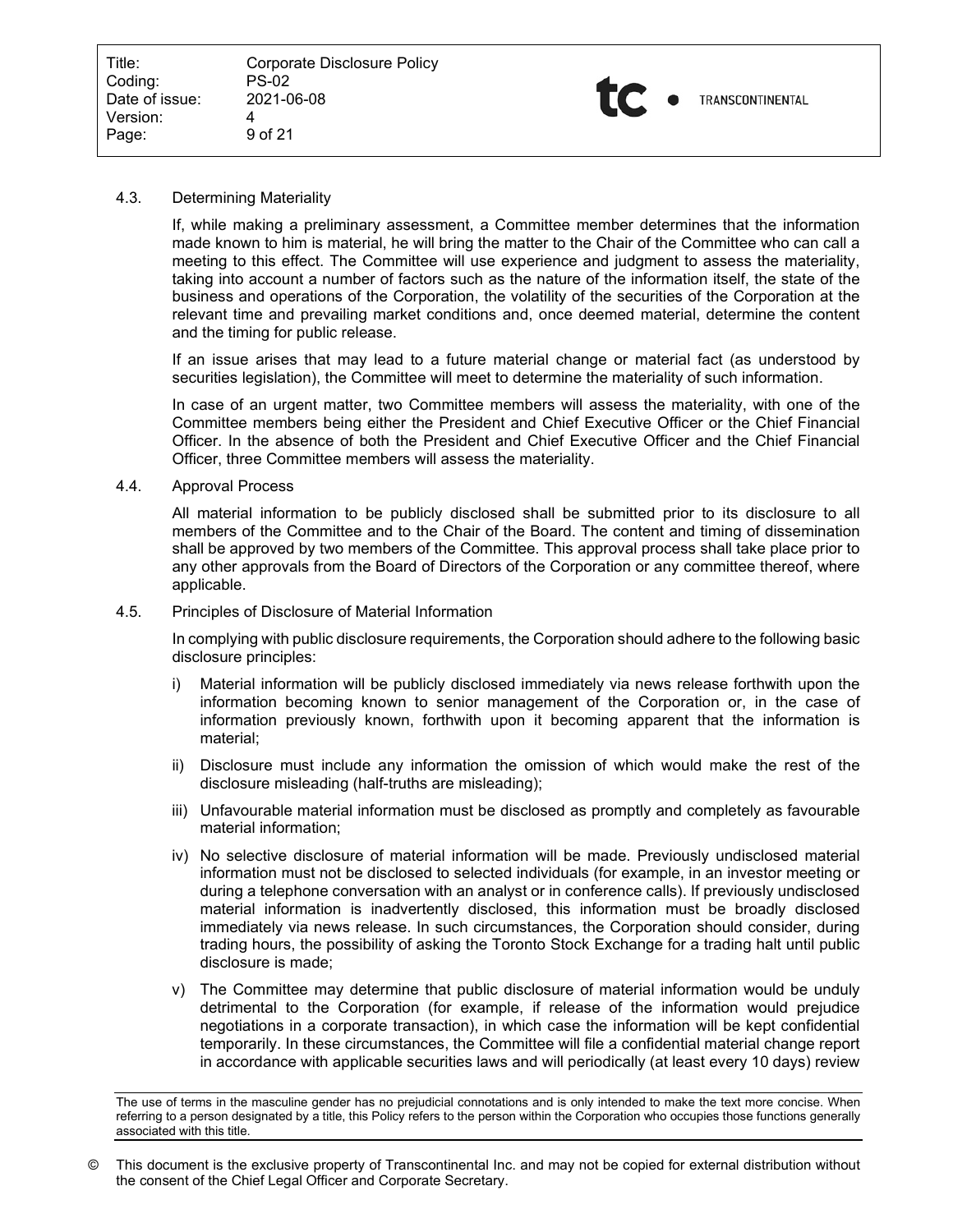## 4.3. Determining Materiality

If, while making a preliminary assessment, a Committee member determines that the information made known to him is material, he will bring the matter to the Chair of the Committee who can call a meeting to this effect. The Committee will use experience and judgment to assess the materiality, taking into account a number of factors such as the nature of the information itself, the state of the business and operations of the Corporation, the volatility of the securities of the Corporation at the relevant time and prevailing market conditions and, once deemed material, determine the content and the timing for public release.

If an issue arises that may lead to a future material change or material fact (as understood by securities legislation), the Committee will meet to determine the materiality of such information.

In case of an urgent matter, two Committee members will assess the materiality, with one of the Committee members being either the President and Chief Executive Officer or the Chief Financial Officer. In the absence of both the President and Chief Executive Officer and the Chief Financial Officer, three Committee members will assess the materiality.

#### 4.4. Approval Process

All material information to be publicly disclosed shall be submitted prior to its disclosure to all members of the Committee and to the Chair of the Board. The content and timing of dissemination shall be approved by two members of the Committee. This approval process shall take place prior to any other approvals from the Board of Directors of the Corporation or any committee thereof, where applicable.

#### 4.5. Principles of Disclosure of Material Information

In complying with public disclosure requirements, the Corporation should adhere to the following basic disclosure principles:

- i) Material information will be publicly disclosed immediately via news release forthwith upon the information becoming known to senior management of the Corporation or, in the case of information previously known, forthwith upon it becoming apparent that the information is material;
- ii) Disclosure must include any information the omission of which would make the rest of the disclosure misleading (half-truths are misleading);
- iii) Unfavourable material information must be disclosed as promptly and completely as favourable material information;
- iv) No selective disclosure of material information will be made. Previously undisclosed material information must not be disclosed to selected individuals (for example, in an investor meeting or during a telephone conversation with an analyst or in conference calls). If previously undisclosed material information is inadvertently disclosed, this information must be broadly disclosed immediately via news release. In such circumstances, the Corporation should consider, during trading hours, the possibility of asking the Toronto Stock Exchange for a trading halt until public disclosure is made;
- v) The Committee may determine that public disclosure of material information would be unduly detrimental to the Corporation (for example, if release of the information would prejudice negotiations in a corporate transaction), in which case the information will be kept confidential temporarily. In these circumstances, the Committee will file a confidential material change report in accordance with applicable securities laws and will periodically (at least every 10 days) review

The use of terms in the masculine gender has no prejudicial connotations and is only intended to make the text more concise. When referring to a person designated by a title, this Policy refers to the person within the Corporation who occupies those functions generally associated with this title.

<sup>©</sup> This document is the exclusive property of Transcontinental Inc. and may not be copied for external distribution without the consent of the Chief Legal Officer and Corporate Secretary.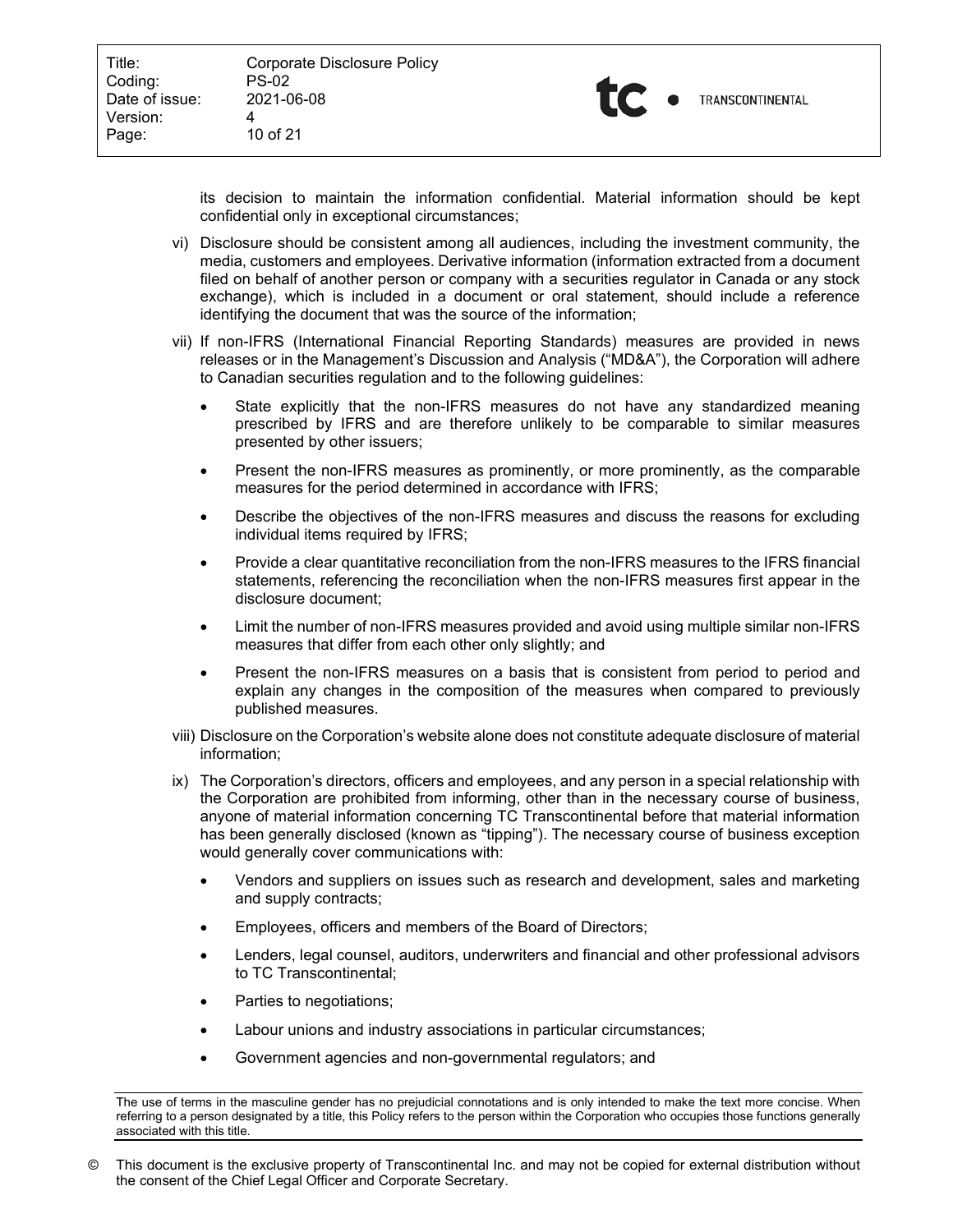

its decision to maintain the information confidential. Material information should be kept confidential only in exceptional circumstances;

- vi) Disclosure should be consistent among all audiences, including the investment community, the media, customers and employees. Derivative information (information extracted from a document filed on behalf of another person or company with a securities regulator in Canada or any stock exchange), which is included in a document or oral statement, should include a reference identifying the document that was the source of the information;
- vii) If non-IFRS (International Financial Reporting Standards) measures are provided in news releases or in the Management's Discussion and Analysis ("MD&A"), the Corporation will adhere to Canadian securities regulation and to the following guidelines:
	- State explicitly that the non-IFRS measures do not have any standardized meaning prescribed by IFRS and are therefore unlikely to be comparable to similar measures presented by other issuers;
	- Present the non-IFRS measures as prominently, or more prominently, as the comparable measures for the period determined in accordance with IFRS;
	- Describe the objectives of the non-IFRS measures and discuss the reasons for excluding individual items required by IFRS;
	- Provide a clear quantitative reconciliation from the non-IFRS measures to the IFRS financial statements, referencing the reconciliation when the non-IFRS measures first appear in the disclosure document;
	- Limit the number of non-IFRS measures provided and avoid using multiple similar non-IFRS measures that differ from each other only slightly; and
	- Present the non-IFRS measures on a basis that is consistent from period to period and explain any changes in the composition of the measures when compared to previously published measures.
- viii) Disclosure on the Corporation's website alone does not constitute adequate disclosure of material information;
- ix) The Corporation's directors, officers and employees, and any person in a special relationship with the Corporation are prohibited from informing, other than in the necessary course of business, anyone of material information concerning TC Transcontinental before that material information has been generally disclosed (known as "tipping"). The necessary course of business exception would generally cover communications with:
	- Vendors and suppliers on issues such as research and development, sales and marketing and supply contracts;
	- Employees, officers and members of the Board of Directors;
	- Lenders, legal counsel, auditors, underwriters and financial and other professional advisors to TC Transcontinental;
	- Parties to negotiations;
	- Labour unions and industry associations in particular circumstances;
	- Government agencies and non-governmental regulators; and

The use of terms in the masculine gender has no prejudicial connotations and is only intended to make the text more concise. When referring to a person designated by a title, this Policy refers to the person within the Corporation who occupies those functions generally associated with this title.

<sup>©</sup> This document is the exclusive property of Transcontinental Inc. and may not be copied for external distribution without the consent of the Chief Legal Officer and Corporate Secretary.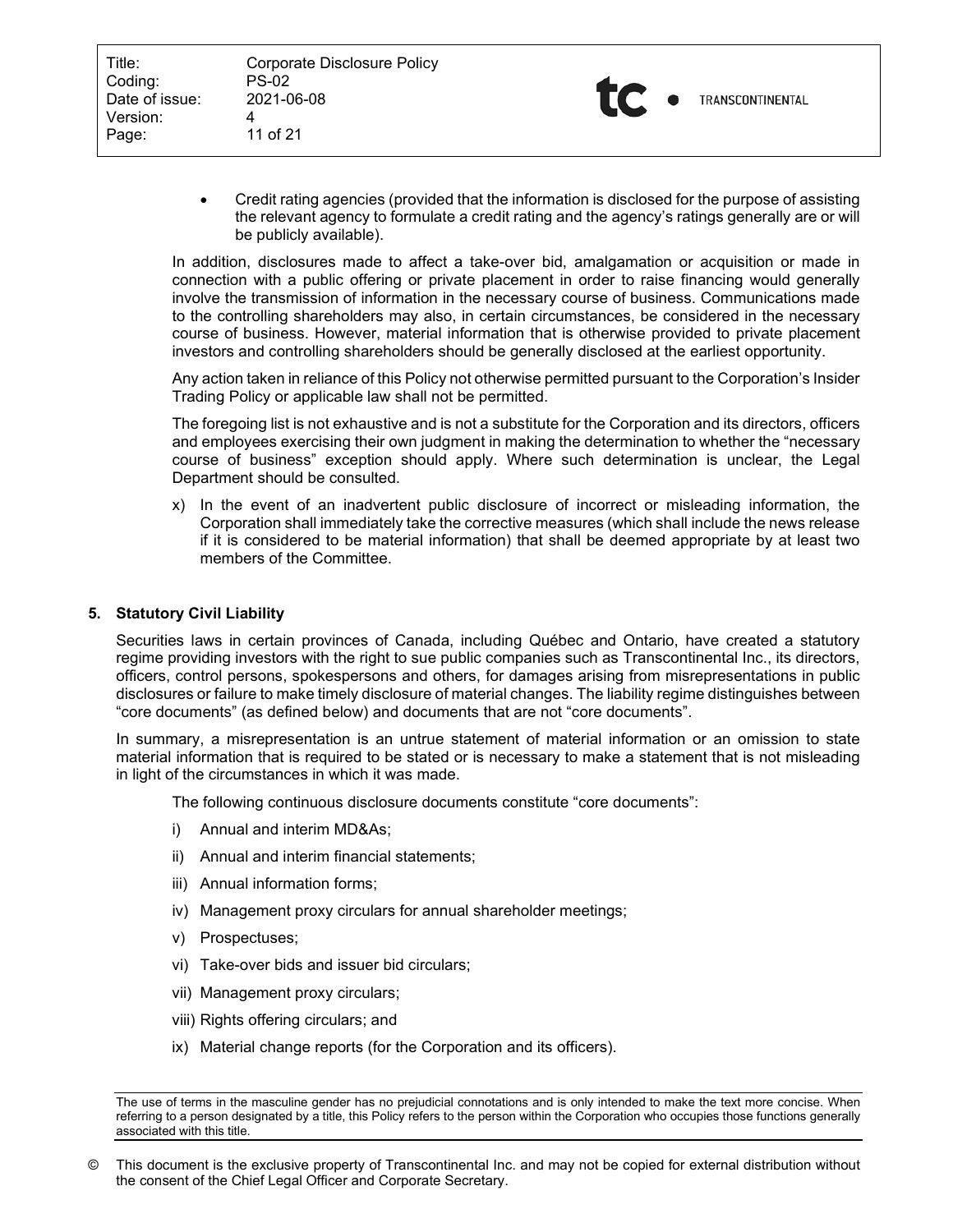- TRANSCONTINENTAL
- Credit rating agencies (provided that the information is disclosed for the purpose of assisting the relevant agency to formulate a credit rating and the agency's ratings generally are or will be publicly available).

In addition, disclosures made to affect a take-over bid, amalgamation or acquisition or made in connection with a public offering or private placement in order to raise financing would generally involve the transmission of information in the necessary course of business. Communications made to the controlling shareholders may also, in certain circumstances, be considered in the necessary course of business. However, material information that is otherwise provided to private placement investors and controlling shareholders should be generally disclosed at the earliest opportunity.

Any action taken in reliance of this Policy not otherwise permitted pursuant to the Corporation's Insider Trading Policy or applicable law shall not be permitted.

The foregoing list is not exhaustive and is not a substitute for the Corporation and its directors, officers and employees exercising their own judgment in making the determination to whether the "necessary course of business" exception should apply. Where such determination is unclear, the Legal Department should be consulted.

x) In the event of an inadvertent public disclosure of incorrect or misleading information, the Corporation shall immediately take the corrective measures (which shall include the news release if it is considered to be material information) that shall be deemed appropriate by at least two members of the Committee.

## **5. Statutory Civil Liability**

Securities laws in certain provinces of Canada, including Québec and Ontario, have created a statutory regime providing investors with the right to sue public companies such as Transcontinental Inc., its directors, officers, control persons, spokespersons and others, for damages arising from misrepresentations in public disclosures or failure to make timely disclosure of material changes. The liability regime distinguishes between "core documents" (as defined below) and documents that are not "core documents".

In summary, a misrepresentation is an untrue statement of material information or an omission to state material information that is required to be stated or is necessary to make a statement that is not misleading in light of the circumstances in which it was made.

The following continuous disclosure documents constitute "core documents":

- i) Annual and interim MD&As;
- ii) Annual and interim financial statements;
- iii) Annual information forms;
- iv) Management proxy circulars for annual shareholder meetings;
- v) Prospectuses;
- vi) Take-over bids and issuer bid circulars;
- vii) Management proxy circulars;
- viii) Rights offering circulars; and
- ix) Material change reports (for the Corporation and its officers).

The use of terms in the masculine gender has no prejudicial connotations and is only intended to make the text more concise. When referring to a person designated by a title, this Policy refers to the person within the Corporation who occupies those functions generally associated with this title.

<sup>©</sup> This document is the exclusive property of Transcontinental Inc. and may not be copied for external distribution without the consent of the Chief Legal Officer and Corporate Secretary.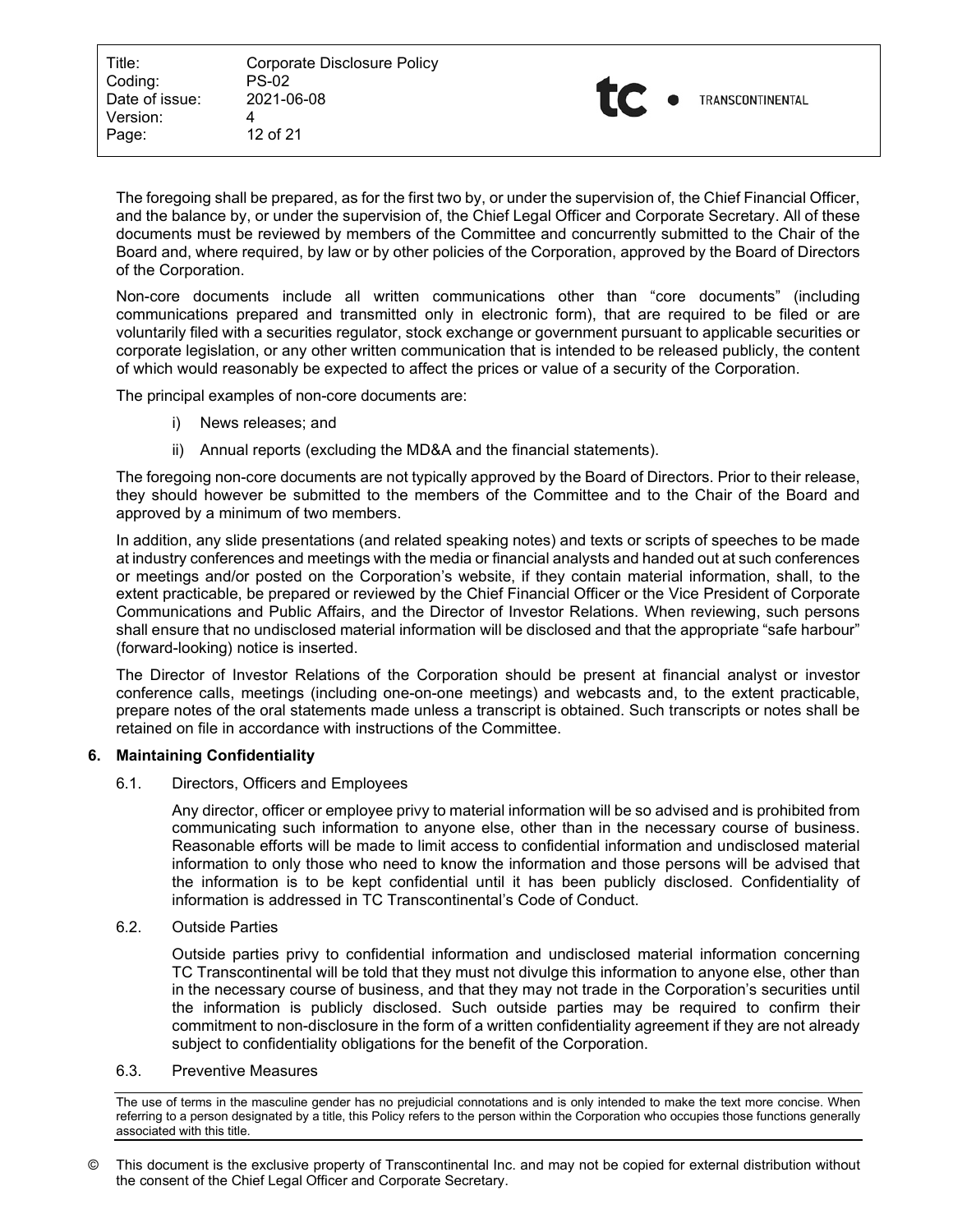The foregoing shall be prepared, as for the first two by, or under the supervision of, the Chief Financial Officer, and the balance by, or under the supervision of, the Chief Legal Officer and Corporate Secretary. All of these documents must be reviewed by members of the Committee and concurrently submitted to the Chair of the Board and, where required, by law or by other policies of the Corporation, approved by the Board of Directors of the Corporation.

Non-core documents include all written communications other than "core documents" (including communications prepared and transmitted only in electronic form), that are required to be filed or are voluntarily filed with a securities regulator, stock exchange or government pursuant to applicable securities or corporate legislation, or any other written communication that is intended to be released publicly, the content of which would reasonably be expected to affect the prices or value of a security of the Corporation.

The principal examples of non-core documents are:

- i) News releases; and
- ii) Annual reports (excluding the MD&A and the financial statements).

The foregoing non-core documents are not typically approved by the Board of Directors. Prior to their release, they should however be submitted to the members of the Committee and to the Chair of the Board and approved by a minimum of two members.

In addition, any slide presentations (and related speaking notes) and texts or scripts of speeches to be made at industry conferences and meetings with the media or financial analysts and handed out at such conferences or meetings and/or posted on the Corporation's website, if they contain material information, shall, to the extent practicable, be prepared or reviewed by the Chief Financial Officer or the Vice President of Corporate Communications and Public Affairs, and the Director of Investor Relations. When reviewing, such persons shall ensure that no undisclosed material information will be disclosed and that the appropriate "safe harbour" (forward-looking) notice is inserted.

The Director of Investor Relations of the Corporation should be present at financial analyst or investor conference calls, meetings (including one-on-one meetings) and webcasts and, to the extent practicable, prepare notes of the oral statements made unless a transcript is obtained. Such transcripts or notes shall be retained on file in accordance with instructions of the Committee.

## **6. Maintaining Confidentiality**

6.1. Directors, Officers and Employees

Any director, officer or employee privy to material information will be so advised and is prohibited from communicating such information to anyone else, other than in the necessary course of business. Reasonable efforts will be made to limit access to confidential information and undisclosed material information to only those who need to know the information and those persons will be advised that the information is to be kept confidential until it has been publicly disclosed. Confidentiality of information is addressed in TC Transcontinental's Code of Conduct.

## 6.2. Outside Parties

Outside parties privy to confidential information and undisclosed material information concerning TC Transcontinental will be told that they must not divulge this information to anyone else, other than in the necessary course of business, and that they may not trade in the Corporation's securities until the information is publicly disclosed. Such outside parties may be required to confirm their commitment to non-disclosure in the form of a written confidentiality agreement if they are not already subject to confidentiality obligations for the benefit of the Corporation.

#### 6.3. Preventive Measures

The use of terms in the masculine gender has no prejudicial connotations and is only intended to make the text more concise. When referring to a person designated by a title, this Policy refers to the person within the Corporation who occupies those functions generally associated with this title.

© This document is the exclusive property of Transcontinental Inc. and may not be copied for external distribution without the consent of the Chief Legal Officer and Corporate Secretary.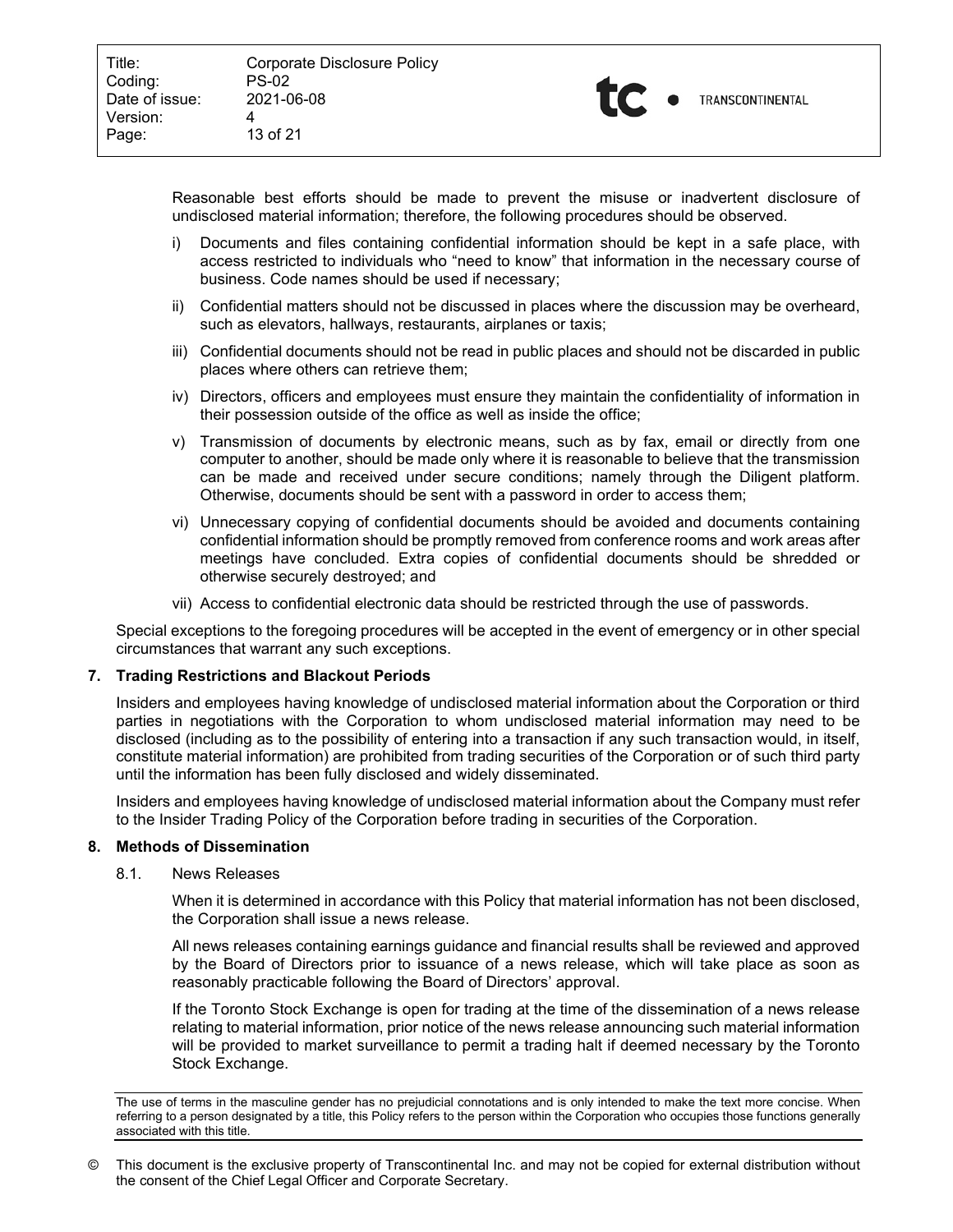

Reasonable best efforts should be made to prevent the misuse or inadvertent disclosure of undisclosed material information; therefore, the following procedures should be observed.

- i) Documents and files containing confidential information should be kept in a safe place, with access restricted to individuals who "need to know" that information in the necessary course of business. Code names should be used if necessary;
- ii) Confidential matters should not be discussed in places where the discussion may be overheard, such as elevators, hallways, restaurants, airplanes or taxis;
- iii) Confidential documents should not be read in public places and should not be discarded in public places where others can retrieve them;
- iv) Directors, officers and employees must ensure they maintain the confidentiality of information in their possession outside of the office as well as inside the office;
- v) Transmission of documents by electronic means, such as by fax, email or directly from one computer to another, should be made only where it is reasonable to believe that the transmission can be made and received under secure conditions; namely through the Diligent platform. Otherwise, documents should be sent with a password in order to access them;
- vi) Unnecessary copying of confidential documents should be avoided and documents containing confidential information should be promptly removed from conference rooms and work areas after meetings have concluded. Extra copies of confidential documents should be shredded or otherwise securely destroyed; and
- vii) Access to confidential electronic data should be restricted through the use of passwords.

Special exceptions to the foregoing procedures will be accepted in the event of emergency or in other special circumstances that warrant any such exceptions.

# **7. Trading Restrictions and Blackout Periods**

Insiders and employees having knowledge of undisclosed material information about the Corporation or third parties in negotiations with the Corporation to whom undisclosed material information may need to be disclosed (including as to the possibility of entering into a transaction if any such transaction would, in itself, constitute material information) are prohibited from trading securities of the Corporation or of such third party until the information has been fully disclosed and widely disseminated.

Insiders and employees having knowledge of undisclosed material information about the Company must refer to the Insider Trading Policy of the Corporation before trading in securities of the Corporation.

## **8. Methods of Dissemination**

8.1. News Releases

When it is determined in accordance with this Policy that material information has not been disclosed, the Corporation shall issue a news release.

All news releases containing earnings guidance and financial results shall be reviewed and approved by the Board of Directors prior to issuance of a news release, which will take place as soon as reasonably practicable following the Board of Directors' approval.

If the Toronto Stock Exchange is open for trading at the time of the dissemination of a news release relating to material information, prior notice of the news release announcing such material information will be provided to market surveillance to permit a trading halt if deemed necessary by the Toronto Stock Exchange.

The use of terms in the masculine gender has no prejudicial connotations and is only intended to make the text more concise. When referring to a person designated by a title, this Policy refers to the person within the Corporation who occupies those functions generally associated with this title.

<sup>©</sup> This document is the exclusive property of Transcontinental Inc. and may not be copied for external distribution without the consent of the Chief Legal Officer and Corporate Secretary.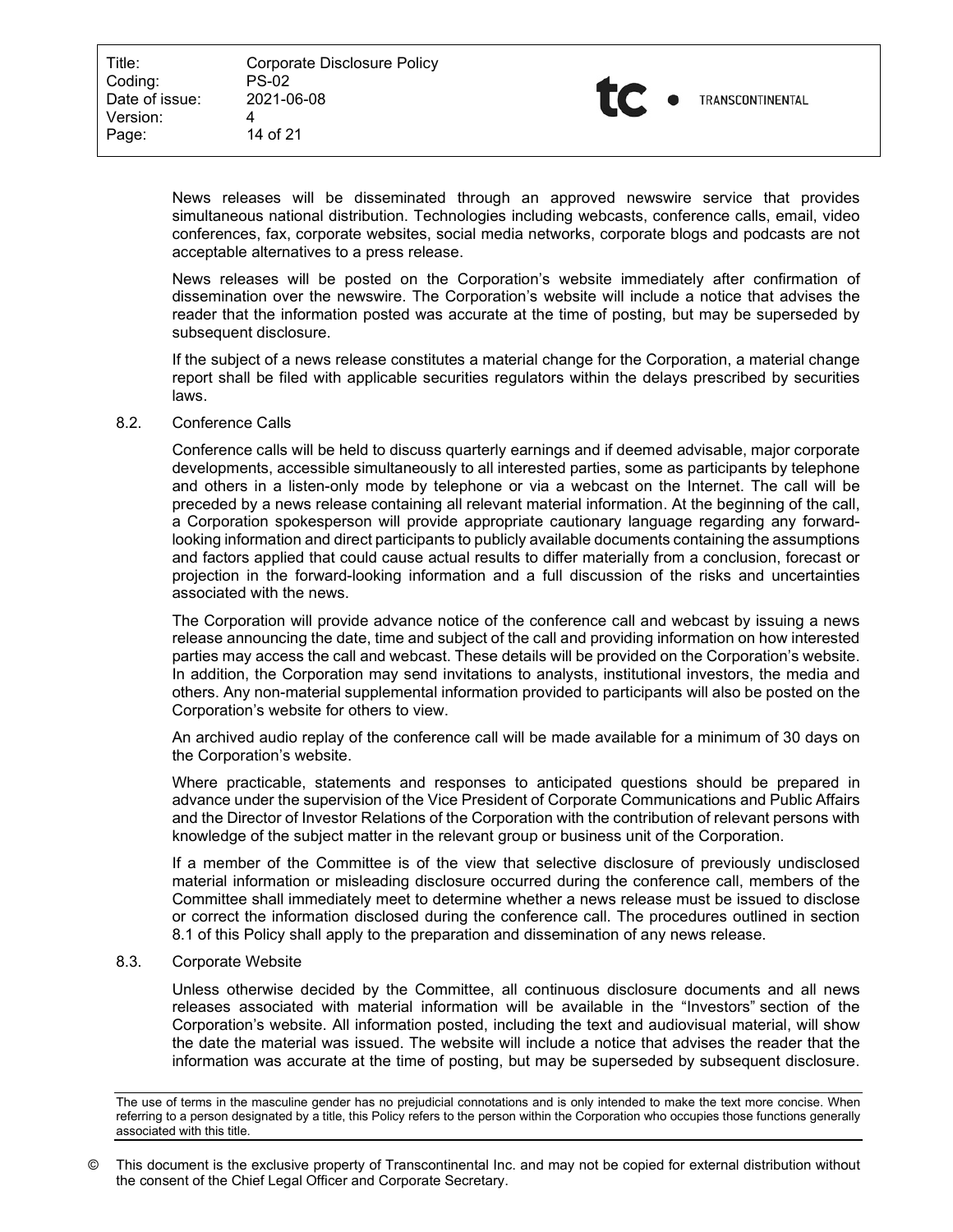

News releases will be disseminated through an approved newswire service that provides simultaneous national distribution. Technologies including webcasts, conference calls, email, video conferences, fax, corporate websites, social media networks, corporate blogs and podcasts are not acceptable alternatives to a press release.

News releases will be posted on the Corporation's website immediately after confirmation of dissemination over the newswire. The Corporation's website will include a notice that advises the reader that the information posted was accurate at the time of posting, but may be superseded by subsequent disclosure.

If the subject of a news release constitutes a material change for the Corporation, a material change report shall be filed with applicable securities regulators within the delays prescribed by securities laws.

8.2. Conference Calls

Conference calls will be held to discuss quarterly earnings and if deemed advisable, major corporate developments, accessible simultaneously to all interested parties, some as participants by telephone and others in a listen-only mode by telephone or via a webcast on the Internet. The call will be preceded by a news release containing all relevant material information. At the beginning of the call, a Corporation spokesperson will provide appropriate cautionary language regarding any forwardlooking information and direct participants to publicly available documents containing the assumptions and factors applied that could cause actual results to differ materially from a conclusion, forecast or projection in the forward-looking information and a full discussion of the risks and uncertainties associated with the news.

The Corporation will provide advance notice of the conference call and webcast by issuing a news release announcing the date, time and subject of the call and providing information on how interested parties may access the call and webcast. These details will be provided on the Corporation's website. In addition, the Corporation may send invitations to analysts, institutional investors, the media and others. Any non-material supplemental information provided to participants will also be posted on the Corporation's website for others to view.

An archived audio replay of the conference call will be made available for a minimum of 30 days on the Corporation's website.

Where practicable, statements and responses to anticipated questions should be prepared in advance under the supervision of the Vice President of Corporate Communications and Public Affairs and the Director of Investor Relations of the Corporation with the contribution of relevant persons with knowledge of the subject matter in the relevant group or business unit of the Corporation.

If a member of the Committee is of the view that selective disclosure of previously undisclosed material information or misleading disclosure occurred during the conference call, members of the Committee shall immediately meet to determine whether a news release must be issued to disclose or correct the information disclosed during the conference call. The procedures outlined in section 8.1 of this Policy shall apply to the preparation and dissemination of any news release.

8.3. Corporate Website

Unless otherwise decided by the Committee, all continuous disclosure documents and all news releases associated with material information will be available in the "Investors" section of the Corporation's website. All information posted, including the text and audiovisual material, will show the date the material was issued. The website will include a notice that advises the reader that the information was accurate at the time of posting, but may be superseded by subsequent disclosure.

The use of terms in the masculine gender has no prejudicial connotations and is only intended to make the text more concise. When referring to a person designated by a title, this Policy refers to the person within the Corporation who occupies those functions generally associated with this title.

<sup>©</sup> This document is the exclusive property of Transcontinental Inc. and may not be copied for external distribution without the consent of the Chief Legal Officer and Corporate Secretary.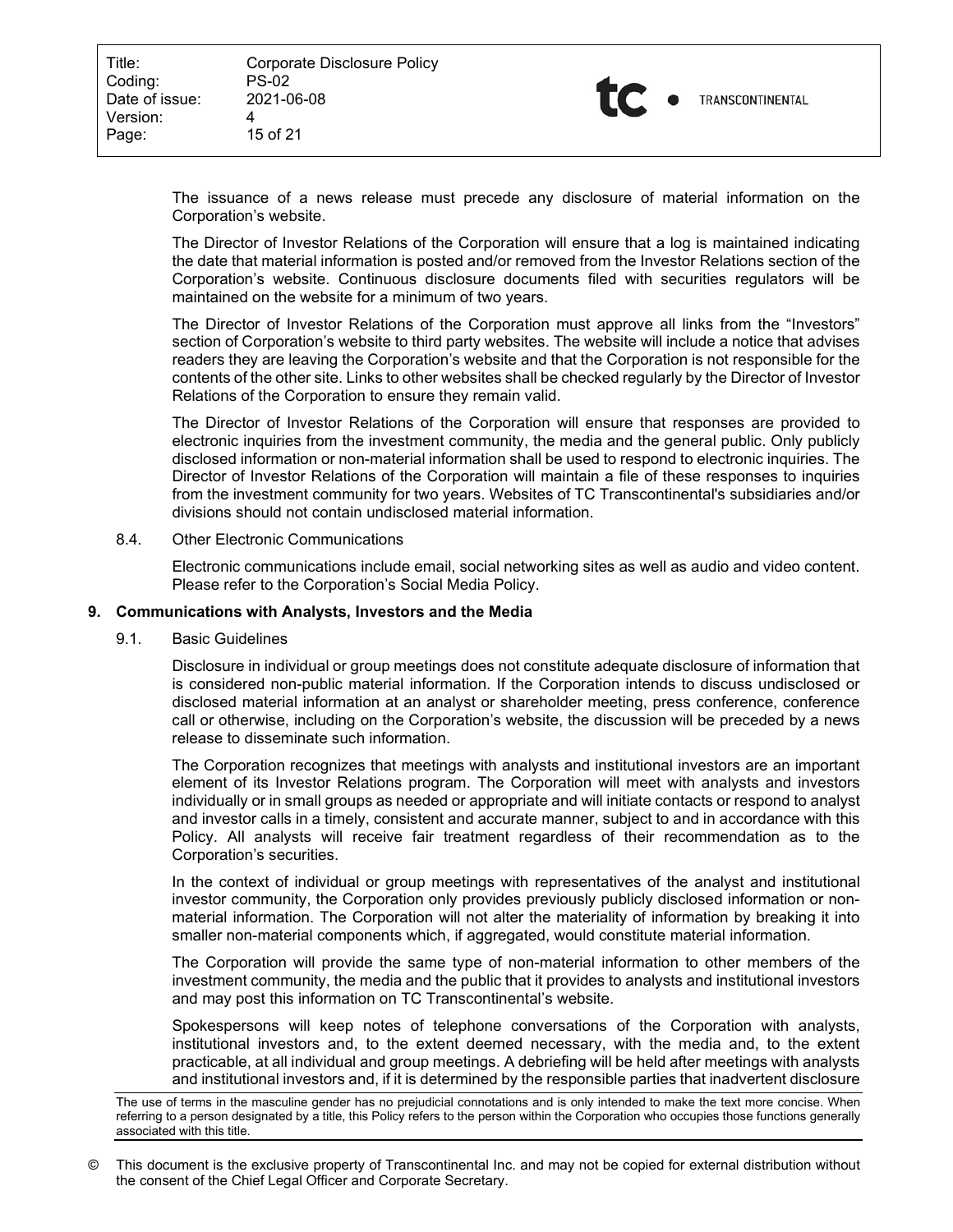

The issuance of a news release must precede any disclosure of material information on the Corporation's website.

The Director of Investor Relations of the Corporation will ensure that a log is maintained indicating the date that material information is posted and/or removed from the Investor Relations section of the Corporation's website. Continuous disclosure documents filed with securities regulators will be maintained on the website for a minimum of two years.

The Director of Investor Relations of the Corporation must approve all links from the "Investors" section of Corporation's website to third party websites. The website will include a notice that advises readers they are leaving the Corporation's website and that the Corporation is not responsible for the contents of the other site. Links to other websites shall be checked regularly by the Director of Investor Relations of the Corporation to ensure they remain valid.

The Director of Investor Relations of the Corporation will ensure that responses are provided to electronic inquiries from the investment community, the media and the general public. Only publicly disclosed information or non-material information shall be used to respond to electronic inquiries. The Director of Investor Relations of the Corporation will maintain a file of these responses to inquiries from the investment community for two years. Websites of TC Transcontinental's subsidiaries and/or divisions should not contain undisclosed material information.

## 8.4. Other Electronic Communications

Electronic communications include email, social networking sites as well as audio and video content. Please refer to the Corporation's Social Media Policy.

## **9. Communications with Analysts, Investors and the Media**

9.1. Basic Guidelines

Disclosure in individual or group meetings does not constitute adequate disclosure of information that is considered non-public material information. If the Corporation intends to discuss undisclosed or disclosed material information at an analyst or shareholder meeting, press conference, conference call or otherwise, including on the Corporation's website, the discussion will be preceded by a news release to disseminate such information.

The Corporation recognizes that meetings with analysts and institutional investors are an important element of its Investor Relations program. The Corporation will meet with analysts and investors individually or in small groups as needed or appropriate and will initiate contacts or respond to analyst and investor calls in a timely, consistent and accurate manner, subject to and in accordance with this Policy. All analysts will receive fair treatment regardless of their recommendation as to the Corporation's securities.

In the context of individual or group meetings with representatives of the analyst and institutional investor community, the Corporation only provides previously publicly disclosed information or nonmaterial information. The Corporation will not alter the materiality of information by breaking it into smaller non-material components which, if aggregated, would constitute material information.

The Corporation will provide the same type of non-material information to other members of the investment community, the media and the public that it provides to analysts and institutional investors and may post this information on TC Transcontinental's website.

Spokespersons will keep notes of telephone conversations of the Corporation with analysts, institutional investors and, to the extent deemed necessary, with the media and, to the extent practicable, at all individual and group meetings. A debriefing will be held after meetings with analysts and institutional investors and, if it is determined by the responsible parties that inadvertent disclosure

The use of terms in the masculine gender has no prejudicial connotations and is only intended to make the text more concise. When referring to a person designated by a title, this Policy refers to the person within the Corporation who occupies those functions generally associated with this title.

<sup>©</sup> This document is the exclusive property of Transcontinental Inc. and may not be copied for external distribution without the consent of the Chief Legal Officer and Corporate Secretary.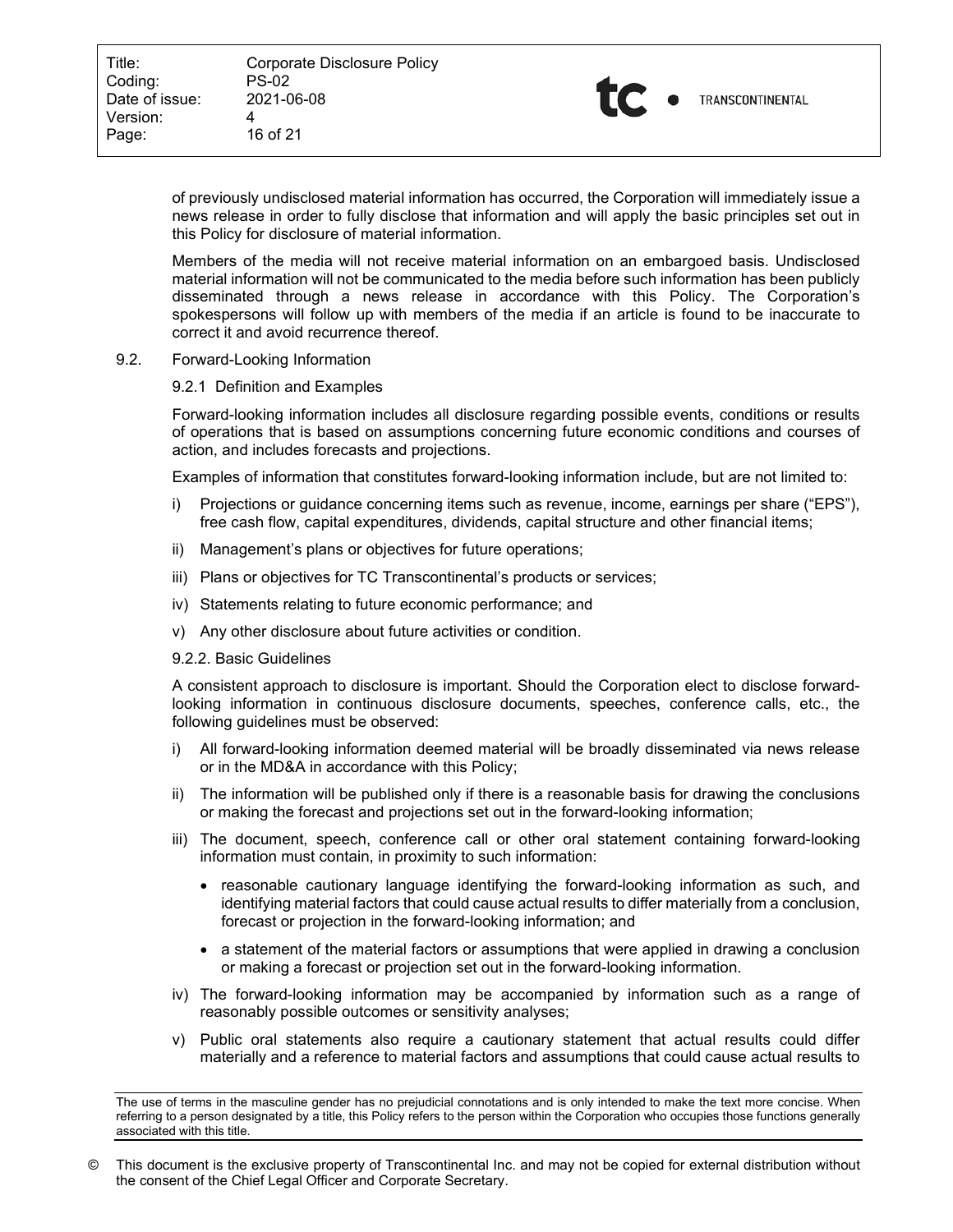

of previously undisclosed material information has occurred, the Corporation will immediately issue a news release in order to fully disclose that information and will apply the basic principles set out in this Policy for disclosure of material information.

Members of the media will not receive material information on an embargoed basis. Undisclosed material information will not be communicated to the media before such information has been publicly disseminated through a news release in accordance with this Policy. The Corporation's spokespersons will follow up with members of the media if an article is found to be inaccurate to correct it and avoid recurrence thereof.

## 9.2. Forward-Looking Information

## 9.2.1 Definition and Examples

Forward-looking information includes all disclosure regarding possible events, conditions or results of operations that is based on assumptions concerning future economic conditions and courses of action, and includes forecasts and projections.

Examples of information that constitutes forward-looking information include, but are not limited to:

- i) Projections or guidance concerning items such as revenue, income, earnings per share ("EPS"), free cash flow, capital expenditures, dividends, capital structure and other financial items;
- ii) Management's plans or objectives for future operations;
- iii) Plans or objectives for TC Transcontinental's products or services;
- iv) Statements relating to future economic performance; and
- v) Any other disclosure about future activities or condition.

#### 9.2.2. Basic Guidelines

A consistent approach to disclosure is important. Should the Corporation elect to disclose forwardlooking information in continuous disclosure documents, speeches, conference calls, etc., the following guidelines must be observed:

- i) All forward-looking information deemed material will be broadly disseminated via news release or in the MD&A in accordance with this Policy;
- ii) The information will be published only if there is a reasonable basis for drawing the conclusions or making the forecast and projections set out in the forward-looking information;
- iii) The document, speech, conference call or other oral statement containing forward-looking information must contain, in proximity to such information:
	- reasonable cautionary language identifying the forward-looking information as such, and identifying material factors that could cause actual results to differ materially from a conclusion, forecast or projection in the forward-looking information; and
	- a statement of the material factors or assumptions that were applied in drawing a conclusion or making a forecast or projection set out in the forward-looking information.
- iv) The forward-looking information may be accompanied by information such as a range of reasonably possible outcomes or sensitivity analyses;
- v) Public oral statements also require a cautionary statement that actual results could differ materially and a reference to material factors and assumptions that could cause actual results to

The use of terms in the masculine gender has no prejudicial connotations and is only intended to make the text more concise. When referring to a person designated by a title, this Policy refers to the person within the Corporation who occupies those functions generally associated with this title.

<sup>©</sup> This document is the exclusive property of Transcontinental Inc. and may not be copied for external distribution without the consent of the Chief Legal Officer and Corporate Secretary.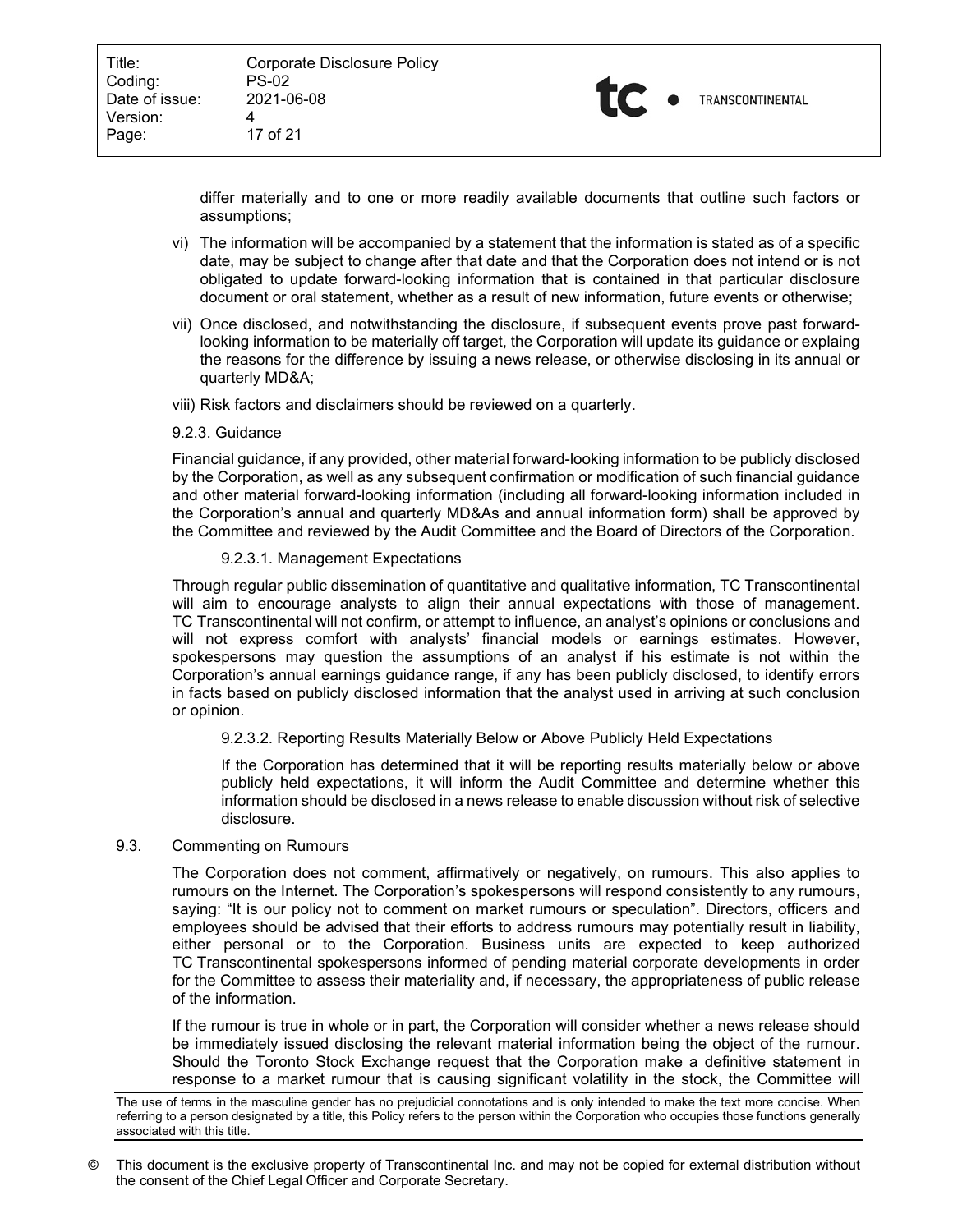

differ materially and to one or more readily available documents that outline such factors or assumptions;

- vi) The information will be accompanied by a statement that the information is stated as of a specific date, may be subject to change after that date and that the Corporation does not intend or is not obligated to update forward-looking information that is contained in that particular disclosure document or oral statement, whether as a result of new information, future events or otherwise;
- vii) Once disclosed, and notwithstanding the disclosure, if subsequent events prove past forwardlooking information to be materially off target, the Corporation will update its guidance or explaing the reasons for the difference by issuing a news release, or otherwise disclosing in its annual or quarterly MD&A;
- viii) Risk factors and disclaimers should be reviewed on a quarterly.

## 9.2.3. Guidance

Financial guidance, if any provided, other material forward-looking information to be publicly disclosed by the Corporation, as well as any subsequent confirmation or modification of such financial guidance and other material forward-looking information (including all forward-looking information included in the Corporation's annual and quarterly MD&As and annual information form) shall be approved by the Committee and reviewed by the Audit Committee and the Board of Directors of the Corporation.

## 9.2.3.1. Management Expectations

Through regular public dissemination of quantitative and qualitative information, TC Transcontinental will aim to encourage analysts to align their annual expectations with those of management. TC Transcontinental will not confirm, or attempt to influence, an analyst's opinions or conclusions and will not express comfort with analysts' financial models or earnings estimates. However, spokespersons may question the assumptions of an analyst if his estimate is not within the Corporation's annual earnings guidance range, if any has been publicly disclosed, to identify errors in facts based on publicly disclosed information that the analyst used in arriving at such conclusion or opinion.

9.2.3.2. Reporting Results Materially Below or Above Publicly Held Expectations

If the Corporation has determined that it will be reporting results materially below or above publicly held expectations, it will inform the Audit Committee and determine whether this information should be disclosed in a news release to enable discussion without risk of selective disclosure.

#### 9.3. Commenting on Rumours

The Corporation does not comment, affirmatively or negatively, on rumours. This also applies to rumours on the Internet. The Corporation's spokespersons will respond consistently to any rumours, saying: "It is our policy not to comment on market rumours or speculation". Directors, officers and employees should be advised that their efforts to address rumours may potentially result in liability, either personal or to the Corporation. Business units are expected to keep authorized TC Transcontinental spokespersons informed of pending material corporate developments in order for the Committee to assess their materiality and, if necessary, the appropriateness of public release of the information.

If the rumour is true in whole or in part, the Corporation will consider whether a news release should be immediately issued disclosing the relevant material information being the object of the rumour. Should the Toronto Stock Exchange request that the Corporation make a definitive statement in response to a market rumour that is causing significant volatility in the stock, the Committee will

© This document is the exclusive property of Transcontinental Inc. and may not be copied for external distribution without the consent of the Chief Legal Officer and Corporate Secretary.

The use of terms in the masculine gender has no prejudicial connotations and is only intended to make the text more concise. When referring to a person designated by a title, this Policy refers to the person within the Corporation who occupies those functions generally associated with this title.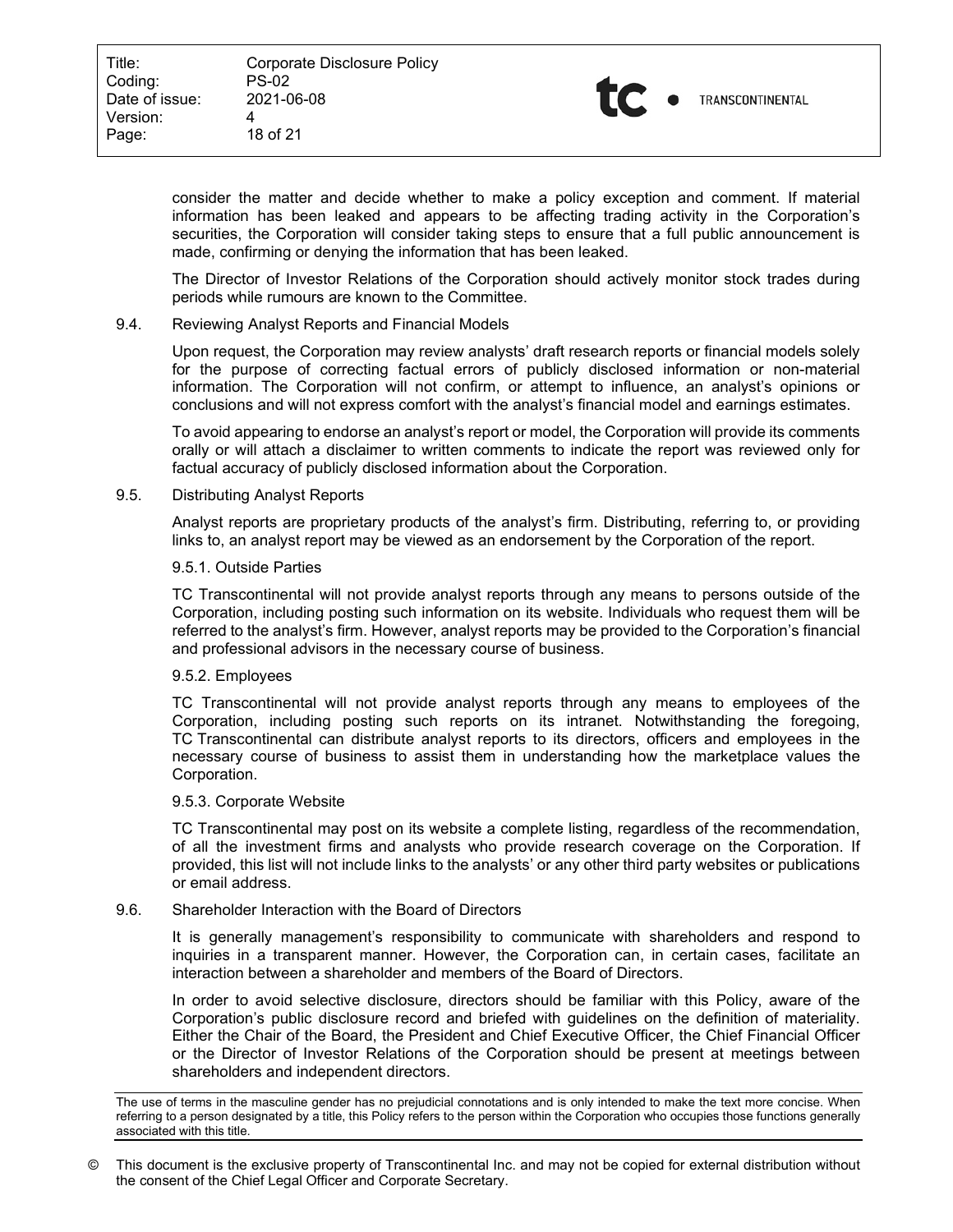

consider the matter and decide whether to make a policy exception and comment. If material information has been leaked and appears to be affecting trading activity in the Corporation's securities, the Corporation will consider taking steps to ensure that a full public announcement is made, confirming or denying the information that has been leaked.

The Director of Investor Relations of the Corporation should actively monitor stock trades during periods while rumours are known to the Committee.

## 9.4. Reviewing Analyst Reports and Financial Models

Upon request, the Corporation may review analysts' draft research reports or financial models solely for the purpose of correcting factual errors of publicly disclosed information or non-material information. The Corporation will not confirm, or attempt to influence, an analyst's opinions or conclusions and will not express comfort with the analyst's financial model and earnings estimates.

To avoid appearing to endorse an analyst's report or model, the Corporation will provide its comments orally or will attach a disclaimer to written comments to indicate the report was reviewed only for factual accuracy of publicly disclosed information about the Corporation.

## 9.5. Distributing Analyst Reports

Analyst reports are proprietary products of the analyst's firm. Distributing, referring to, or providing links to, an analyst report may be viewed as an endorsement by the Corporation of the report.

## 9.5.1. Outside Parties

TC Transcontinental will not provide analyst reports through any means to persons outside of the Corporation, including posting such information on its website. Individuals who request them will be referred to the analyst's firm. However, analyst reports may be provided to the Corporation's financial and professional advisors in the necessary course of business.

#### 9.5.2. Employees

TC Transcontinental will not provide analyst reports through any means to employees of the Corporation, including posting such reports on its intranet. Notwithstanding the foregoing, TC Transcontinental can distribute analyst reports to its directors, officers and employees in the necessary course of business to assist them in understanding how the marketplace values the Corporation.

#### 9.5.3. Corporate Website

TC Transcontinental may post on its website a complete listing, regardless of the recommendation, of all the investment firms and analysts who provide research coverage on the Corporation. If provided, this list will not include links to the analysts' or any other third party websites or publications or email address.

## 9.6. Shareholder Interaction with the Board of Directors

It is generally management's responsibility to communicate with shareholders and respond to inquiries in a transparent manner. However, the Corporation can, in certain cases, facilitate an interaction between a shareholder and members of the Board of Directors.

In order to avoid selective disclosure, directors should be familiar with this Policy, aware of the Corporation's public disclosure record and briefed with guidelines on the definition of materiality. Either the Chair of the Board, the President and Chief Executive Officer, the Chief Financial Officer or the Director of Investor Relations of the Corporation should be present at meetings between shareholders and independent directors.

The use of terms in the masculine gender has no prejudicial connotations and is only intended to make the text more concise. When referring to a person designated by a title, this Policy refers to the person within the Corporation who occupies those functions generally associated with this title.

<sup>©</sup> This document is the exclusive property of Transcontinental Inc. and may not be copied for external distribution without the consent of the Chief Legal Officer and Corporate Secretary.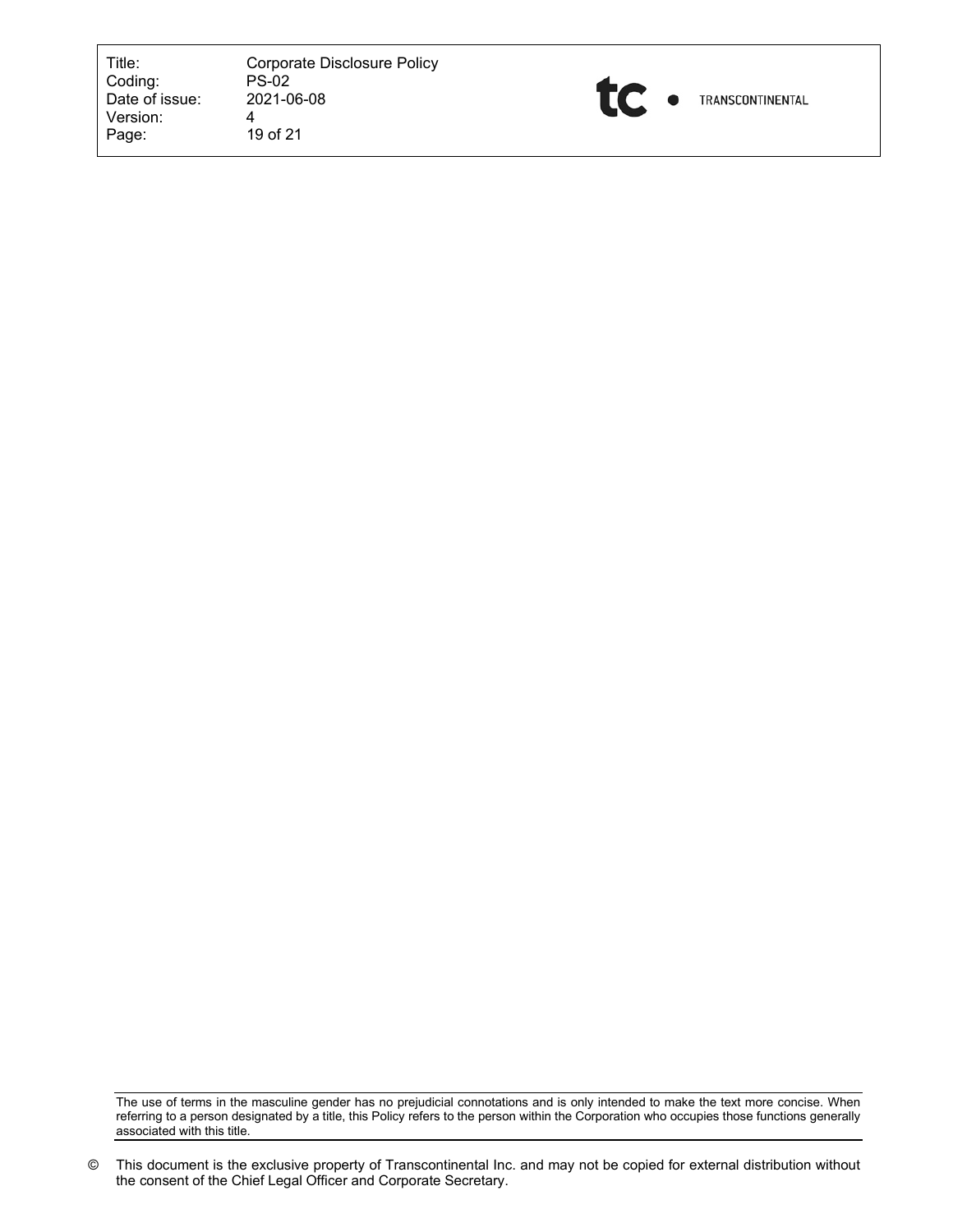| Title:         |   |
|----------------|---|
| Coding:        | P |
| Date of issue: | 2 |
| Version:       | 4 |
| Page:          |   |

Corporate Disclosure Policy  $PS-02$ 2021-06-08 19 of 21



 $\bullet$ 

TRANSCONTINENTAL

The use of terms in the masculine gender has no prejudicial connotations and is only intended to make the text more concise. When referring to a person designated by a title, this Policy refers to the person within the Corporation who occupies those functions generally associated with this title.

<sup>©</sup> This document is the exclusive property of Transcontinental Inc. and may not be copied for external distribution without the consent of the Chief Legal Officer and Corporate Secretary.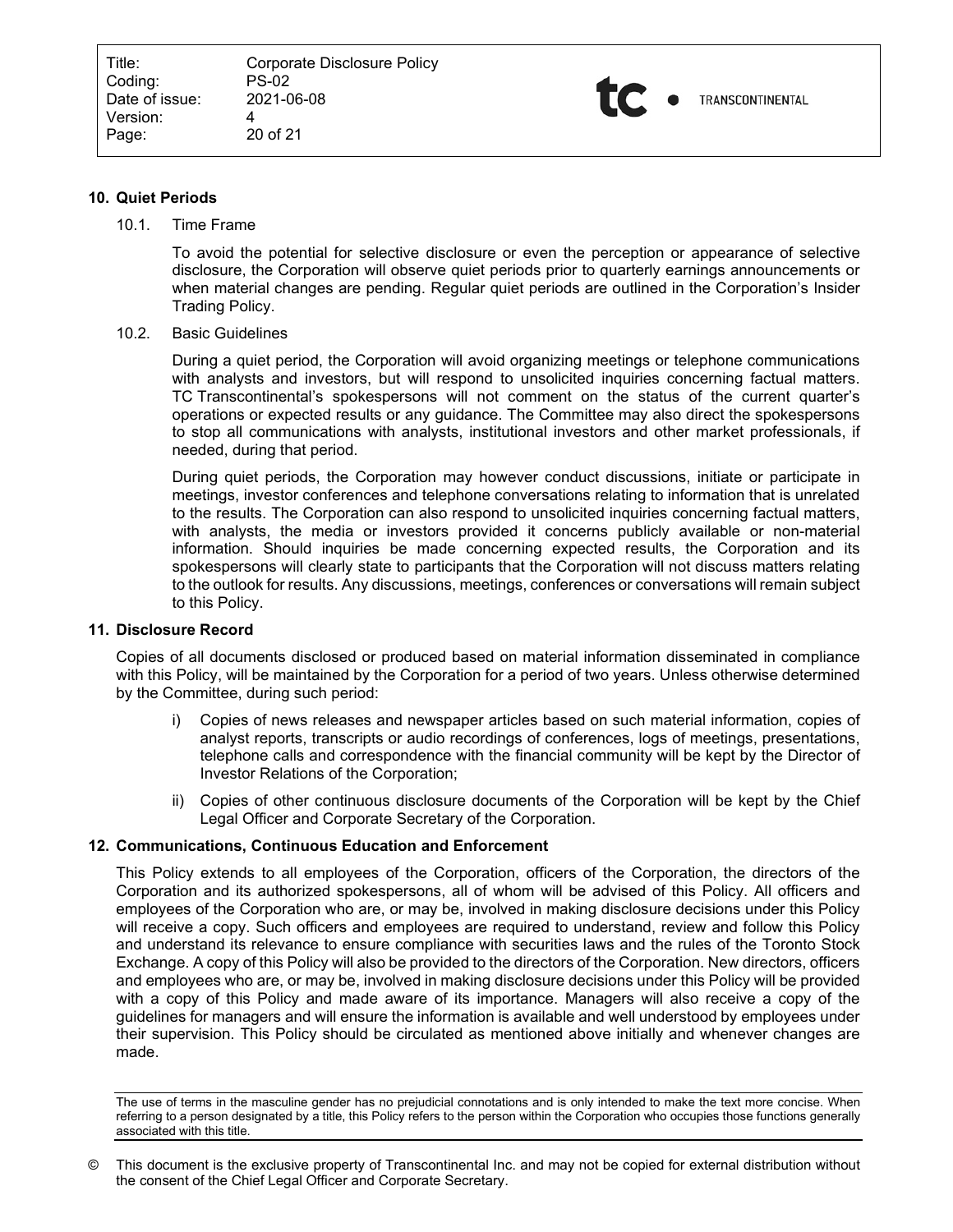

#### **10. Quiet Periods**

10.1. Time Frame

To avoid the potential for selective disclosure or even the perception or appearance of selective disclosure, the Corporation will observe quiet periods prior to quarterly earnings announcements or when material changes are pending. Regular quiet periods are outlined in the Corporation's Insider Trading Policy.

#### 10.2. Basic Guidelines

During a quiet period, the Corporation will avoid organizing meetings or telephone communications with analysts and investors, but will respond to unsolicited inquiries concerning factual matters. TC Transcontinental's spokespersons will not comment on the status of the current quarter's operations or expected results or any guidance. The Committee may also direct the spokespersons to stop all communications with analysts, institutional investors and other market professionals, if needed, during that period.

During quiet periods, the Corporation may however conduct discussions, initiate or participate in meetings, investor conferences and telephone conversations relating to information that is unrelated to the results. The Corporation can also respond to unsolicited inquiries concerning factual matters, with analysts, the media or investors provided it concerns publicly available or non-material information. Should inquiries be made concerning expected results, the Corporation and its spokespersons will clearly state to participants that the Corporation will not discuss matters relating to the outlook for results. Any discussions, meetings, conferences or conversations will remain subject to this Policy.

#### **11. Disclosure Record**

Copies of all documents disclosed or produced based on material information disseminated in compliance with this Policy, will be maintained by the Corporation for a period of two years. Unless otherwise determined by the Committee, during such period:

- i) Copies of news releases and newspaper articles based on such material information, copies of analyst reports, transcripts or audio recordings of conferences, logs of meetings, presentations, telephone calls and correspondence with the financial community will be kept by the Director of Investor Relations of the Corporation;
- ii) Copies of other continuous disclosure documents of the Corporation will be kept by the Chief Legal Officer and Corporate Secretary of the Corporation.

#### **12. Communications, Continuous Education and Enforcement**

This Policy extends to all employees of the Corporation, officers of the Corporation, the directors of the Corporation and its authorized spokespersons, all of whom will be advised of this Policy. All officers and employees of the Corporation who are, or may be, involved in making disclosure decisions under this Policy will receive a copy. Such officers and employees are required to understand, review and follow this Policy and understand its relevance to ensure compliance with securities laws and the rules of the Toronto Stock Exchange. A copy of this Policy will also be provided to the directors of the Corporation. New directors, officers and employees who are, or may be, involved in making disclosure decisions under this Policy will be provided with a copy of this Policy and made aware of its importance. Managers will also receive a copy of the guidelines for managers and will ensure the information is available and well understood by employees under their supervision. This Policy should be circulated as mentioned above initially and whenever changes are made.

The use of terms in the masculine gender has no prejudicial connotations and is only intended to make the text more concise. When referring to a person designated by a title, this Policy refers to the person within the Corporation who occupies those functions generally associated with this title.

© This document is the exclusive property of Transcontinental Inc. and may not be copied for external distribution without the consent of the Chief Legal Officer and Corporate Secretary.